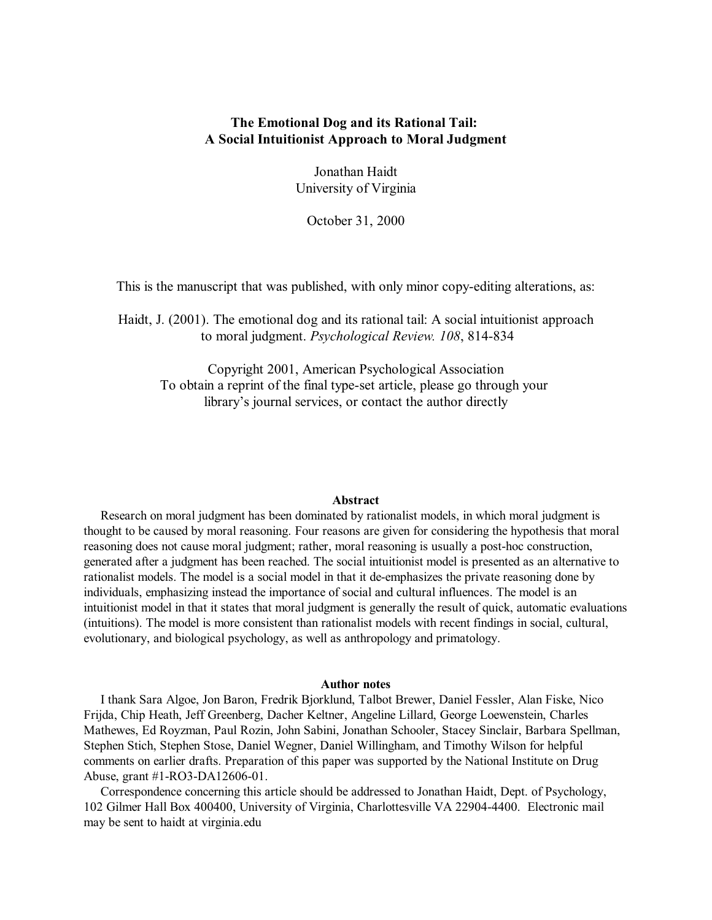# **The Emotional Dog and its Rational Tail: A Social Intuitionist Approach to Moral Judgment**

Jonathan Haidt University of Virginia

October 31, 2000

This is the manuscript that was published, with only minor copy-editing alterations, as:

Haidt, J. (2001). The emotional dog and its rational tail: A social intuitionist approach to moral judgment. *Psychological Review. 108*, 814-834

Copyright 2001, American Psychological Association To obtain a reprint of the final type-set article, please go through your library's journal services, or contact the author directly

### **Abstract**

 Research on moral judgment has been dominated by rationalist models, in which moral judgment is thought to be caused by moral reasoning. Four reasons are given for considering the hypothesis that moral reasoning does not cause moral judgment; rather, moral reasoning is usually a post-hoc construction, generated after a judgment has been reached. The social intuitionist model is presented as an alternative to rationalist models. The model is a social model in that it de-emphasizes the private reasoning done by individuals, emphasizing instead the importance of social and cultural influences. The model is an intuitionist model in that it states that moral judgment is generally the result of quick, automatic evaluations (intuitions). The model is more consistent than rationalist models with recent findings in social, cultural, evolutionary, and biological psychology, as well as anthropology and primatology.

#### **Author notes**

 I thank Sara Algoe, Jon Baron, Fredrik Bjorklund, Talbot Brewer, Daniel Fessler, Alan Fiske, Nico Frijda, Chip Heath, Jeff Greenberg, Dacher Keltner, Angeline Lillard, George Loewenstein, Charles Mathewes, Ed Royzman, Paul Rozin, John Sabini, Jonathan Schooler, Stacey Sinclair, Barbara Spellman, Stephen Stich, Stephen Stose, Daniel Wegner, Daniel Willingham, and Timothy Wilson for helpful comments on earlier drafts. Preparation of this paper was supported by the National Institute on Drug Abuse, grant #1-RO3-DA12606-01.

 Correspondence concerning this article should be addressed to Jonathan Haidt, Dept. of Psychology, 102 Gilmer Hall Box 400400, University of Virginia, Charlottesville VA 22904-4400. Electronic mail may be sent to haidt at virginia.edu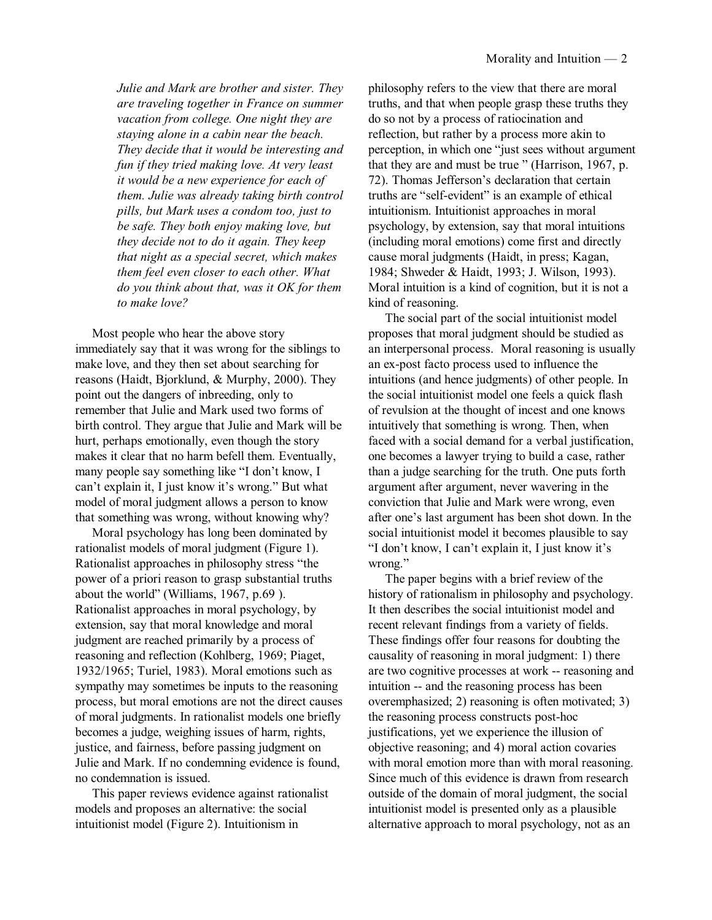*Julie and Mark are brother and sister. They are traveling together in France on summer vacation from college. One night they are staying alone in a cabin near the beach. They decide that it would be interesting and fun if they tried making love. At very least it would be a new experience for each of them. Julie was already taking birth control pills, but Mark uses a condom too, just to be safe. They both enjoy making love, but they decide not to do it again. They keep*

*that night as a special secret, which makes them feel even closer to each other. What do you think about that, was it OK for them to make love?*

 Most people who hear the above story immediately say that it was wrong for the siblings to make love, and they then set about searching for reasons (Haidt, Bjorklund, & Murphy, 2000). They point out the dangers of inbreeding, only to remember that Julie and Mark used two forms of birth control. They argue that Julie and Mark will be hurt, perhaps emotionally, even though the story makes it clear that no harm befell them. Eventually, many people say something like "I don't know, I can't explain it, I just know it's wrong." But what model of moral judgment allows a person to know that something was wrong, without knowing why?

 Moral psychology has long been dominated by rationalist models of moral judgment (Figure 1). Rationalist approaches in philosophy stress "the power of a priori reason to grasp substantial truths about the world" (Williams, 1967, p.69 ). Rationalist approaches in moral psychology, by extension, say that moral knowledge and moral judgment are reached primarily by a process of reasoning and reflection (Kohlberg, 1969; Piaget, 1932/1965; Turiel, 1983). Moral emotions such as sympathy may sometimes be inputs to the reasoning process, but moral emotions are not the direct causes of moral judgments. In rationalist models one briefly becomes a judge, weighing issues of harm, rights, justice, and fairness, before passing judgment on Julie and Mark. If no condemning evidence is found, no condemnation is issued.

 This paper reviews evidence against rationalist models and proposes an alternative: the social intuitionist model (Figure 2). Intuitionism in

philosophy refers to the view that there are moral truths, and that when people grasp these truths they do so not by a process of ratiocination and reflection, but rather by a process more akin to perception, in which one "just sees without argument that they are and must be true " (Harrison, 1967, p. 72). Thomas Jefferson's declaration that certain truths are "self-evident" is an example of ethical intuitionism. Intuitionist approaches in moral psychology, by extension, say that moral intuitions (including moral emotions) come first and directly cause moral judgments (Haidt, in press; Kagan, 1984; Shweder & Haidt, 1993; J. Wilson, 1993). Moral intuition is a kind of cognition, but it is not a kind of reasoning.

 The social part of the social intuitionist model proposes that moral judgment should be studied as an interpersonal process. Moral reasoning is usually an ex-post facto process used to influence the intuitions (and hence judgments) of other people. In the social intuitionist model one feels a quick flash of revulsion at the thought of incest and one knows intuitively that something is wrong. Then, when faced with a social demand for a verbal justification, one becomes a lawyer trying to build a case, rather than a judge searching for the truth. One puts forth argument after argument, never wavering in the conviction that Julie and Mark were wrong, even after one's last argument has been shot down. In the social intuitionist model it becomes plausible to say "I don't know, I can't explain it, I just know it's wrong."

 The paper begins with a brief review of the history of rationalism in philosophy and psychology. It then describes the social intuitionist model and recent relevant findings from a variety of fields. These findings offer four reasons for doubting the causality of reasoning in moral judgment: 1) there are two cognitive processes at work -- reasoning and intuition -- and the reasoning process has been overemphasized; 2) reasoning is often motivated; 3) the reasoning process constructs post-hoc justifications, yet we experience the illusion of objective reasoning; and 4) moral action covaries with moral emotion more than with moral reasoning. Since much of this evidence is drawn from research outside of the domain of moral judgment, the social intuitionist model is presented only as a plausible alternative approach to moral psychology, not as an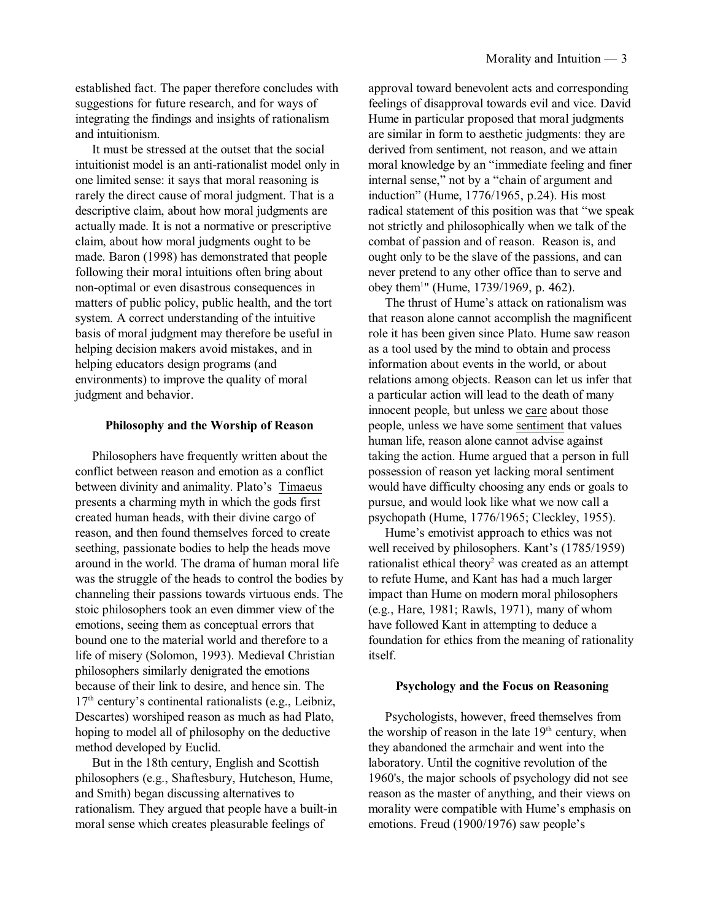established fact. The paper therefore concludes with suggestions for future research, and for ways of integrating the findings and insights of rationalism and intuitionism.

 It must be stressed at the outset that the social intuitionist model is an anti-rationalist model only in one limited sense: it says that moral reasoning is rarely the direct cause of moral judgment. That is a descriptive claim, about how moral judgments are actually made. It is not a normative or prescriptive claim, about how moral judgments ought to be made. Baron (1998) has demonstrated that people following their moral intuitions often bring about non-optimal or even disastrous consequences in matters of public policy, public health, and the tort system. A correct understanding of the intuitive basis of moral judgment may therefore be useful in helping decision makers avoid mistakes, and in helping educators design programs (and environments) to improve the quality of moral judgment and behavior.

#### **Philosophy and the Worship of Reason**

 Philosophers have frequently written about the conflict between reason and emotion as a conflict between divinity and animality. Plato's Timaeus presents a charming myth in which the gods first created human heads, with their divine cargo of reason, and then found themselves forced to create seething, passionate bodies to help the heads move around in the world. The drama of human moral life was the struggle of the heads to control the bodies by channeling their passions towards virtuous ends. The stoic philosophers took an even dimmer view of the emotions, seeing them as conceptual errors that bound one to the material world and therefore to a life of misery (Solomon, 1993). Medieval Christian philosophers similarly denigrated the emotions because of their link to desire, and hence sin. The  $17<sup>th</sup>$  century's continental rationalists (e.g., Leibniz, Descartes) worshiped reason as much as had Plato, hoping to model all of philosophy on the deductive method developed by Euclid.

 But in the 18th century, English and Scottish philosophers (e.g., Shaftesbury, Hutcheson, Hume, and Smith) began discussing alternatives to rationalism. They argued that people have a built-in moral sense which creates pleasurable feelings of

approval toward benevolent acts and corresponding feelings of disapproval towards evil and vice. David Hume in particular proposed that moral judgments are similar in form to aesthetic judgments: they are derived from sentiment, not reason, and we attain moral knowledge by an "immediate feeling and finer internal sense," not by a "chain of argument and induction" (Hume, 1776/1965, p.24). His most radical statement of this position was that "we speak not strictly and philosophically when we talk of the combat of passion and of reason. Reason is, and ought only to be the slave of the passions, and can never pretend to any other office than to serve and obey them<sup>1</sup>" (Hume,  $1739/1969$ , p. 462).

 The thrust of Hume's attack on rationalism was that reason alone cannot accomplish the magnificent role it has been given since Plato. Hume saw reason as a tool used by the mind to obtain and process information about events in the world, or about relations among objects. Reason can let us infer that a particular action will lead to the death of many innocent people, but unless we care about those people, unless we have some sentiment that values human life, reason alone cannot advise against taking the action. Hume argued that a person in full possession of reason yet lacking moral sentiment would have difficulty choosing any ends or goals to pursue, and would look like what we now call a psychopath (Hume, 1776/1965; Cleckley, 1955).

 Hume's emotivist approach to ethics was not well received by philosophers. Kant's (1785/1959) rationalist ethical theory<sup>2</sup> was created as an attempt to refute Hume, and Kant has had a much larger impact than Hume on modern moral philosophers (e.g., Hare, 1981; Rawls, 1971), many of whom have followed Kant in attempting to deduce a foundation for ethics from the meaning of rationality itself.

### **Psychology and the Focus on Reasoning**

 Psychologists, however, freed themselves from the worship of reason in the late  $19<sup>th</sup>$  century, when they abandoned the armchair and went into the laboratory. Until the cognitive revolution of the 1960's, the major schools of psychology did not see reason as the master of anything, and their views on morality were compatible with Hume's emphasis on emotions. Freud (1900/1976) saw people's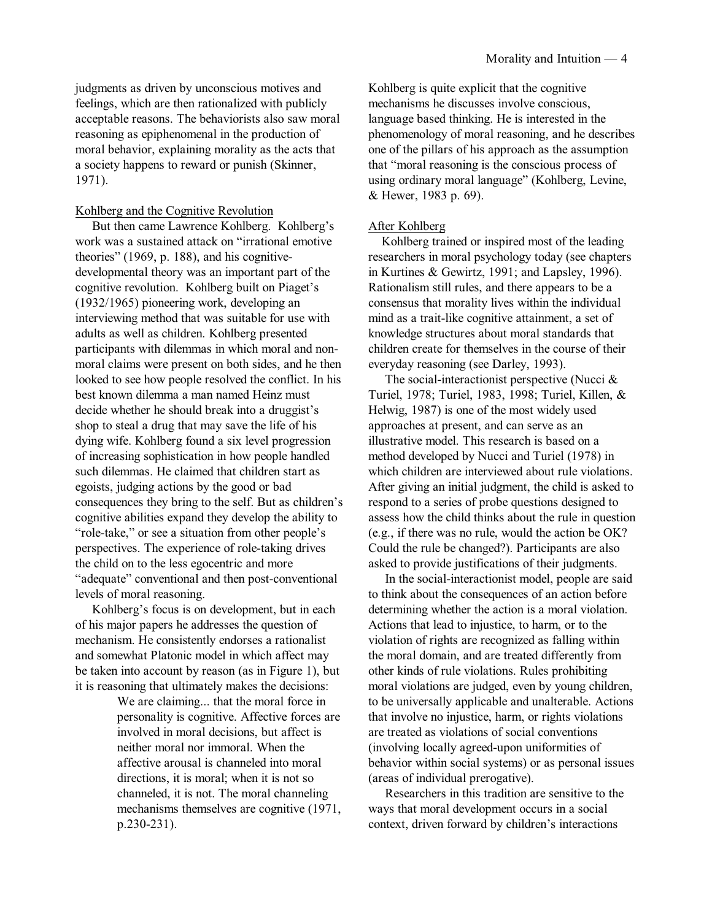judgments as driven by unconscious motives and feelings, which are then rationalized with publicly acceptable reasons. The behaviorists also saw moral reasoning as epiphenomenal in the production of moral behavior, explaining morality as the acts that a society happens to reward or punish (Skinner, 1971).

### Kohlberg and the Cognitive Revolution

 But then came Lawrence Kohlberg. Kohlberg's work was a sustained attack on "irrational emotive theories" (1969, p. 188), and his cognitivedevelopmental theory was an important part of the cognitive revolution. Kohlberg built on Piaget's (1932/1965) pioneering work, developing an interviewing method that was suitable for use with adults as well as children. Kohlberg presented participants with dilemmas in which moral and nonmoral claims were present on both sides, and he then looked to see how people resolved the conflict. In his best known dilemma a man named Heinz must decide whether he should break into a druggist's shop to steal a drug that may save the life of his dying wife. Kohlberg found a six level progression of increasing sophistication in how people handled such dilemmas. He claimed that children start as egoists, judging actions by the good or bad consequences they bring to the self. But as children's cognitive abilities expand they develop the ability to "role-take," or see a situation from other people's perspectives. The experience of role-taking drives the child on to the less egocentric and more "adequate" conventional and then post-conventional levels of moral reasoning.

 Kohlberg's focus is on development, but in each of his major papers he addresses the question of mechanism. He consistently endorses a rationalist and somewhat Platonic model in which affect may be taken into account by reason (as in Figure 1), but it is reasoning that ultimately makes the decisions:

> We are claiming... that the moral force in personality is cognitive. Affective forces are involved in moral decisions, but affect is neither moral nor immoral. When the affective arousal is channeled into moral directions, it is moral; when it is not so channeled, it is not. The moral channeling mechanisms themselves are cognitive (1971, p.230-231).

Kohlberg is quite explicit that the cognitive mechanisms he discusses involve conscious, language based thinking. He is interested in the phenomenology of moral reasoning, and he describes one of the pillars of his approach as the assumption that "moral reasoning is the conscious process of using ordinary moral language" (Kohlberg, Levine, & Hewer, 1983 p. 69).

#### After Kohlberg

 Kohlberg trained or inspired most of the leading researchers in moral psychology today (see chapters in Kurtines & Gewirtz, 1991; and Lapsley, 1996). Rationalism still rules, and there appears to be a consensus that morality lives within the individual mind as a trait-like cognitive attainment, a set of knowledge structures about moral standards that children create for themselves in the course of their everyday reasoning (see Darley, 1993).

 The social-interactionist perspective (Nucci & Turiel, 1978; Turiel, 1983, 1998; Turiel, Killen, & Helwig, 1987) is one of the most widely used approaches at present, and can serve as an illustrative model. This research is based on a method developed by Nucci and Turiel (1978) in which children are interviewed about rule violations. After giving an initial judgment, the child is asked to respond to a series of probe questions designed to assess how the child thinks about the rule in question (e.g., if there was no rule, would the action be OK? Could the rule be changed?). Participants are also asked to provide justifications of their judgments.

 In the social-interactionist model, people are said to think about the consequences of an action before determining whether the action is a moral violation. Actions that lead to injustice, to harm, or to the violation of rights are recognized as falling within the moral domain, and are treated differently from other kinds of rule violations. Rules prohibiting moral violations are judged, even by young children, to be universally applicable and unalterable. Actions that involve no injustice, harm, or rights violations are treated as violations of social conventions (involving locally agreed-upon uniformities of behavior within social systems) or as personal issues (areas of individual prerogative).

 Researchers in this tradition are sensitive to the ways that moral development occurs in a social context, driven forward by children's interactions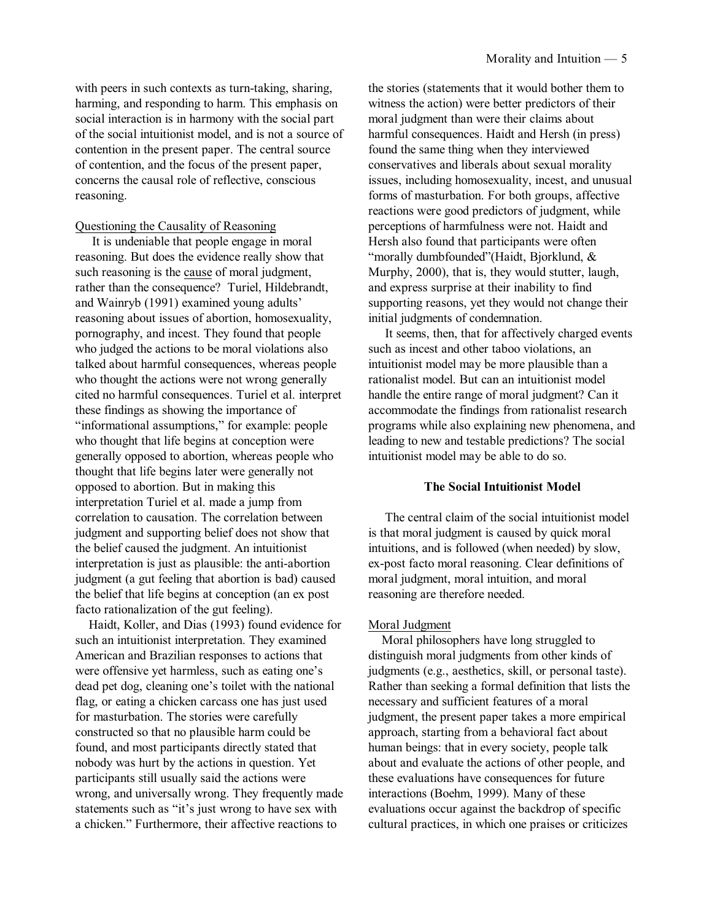with peers in such contexts as turn-taking, sharing, harming, and responding to harm. This emphasis on social interaction is in harmony with the social part of the social intuitionist model, and is not a source of contention in the present paper. The central source of contention, and the focus of the present paper, concerns the causal role of reflective, conscious reasoning.

### Questioning the Causality of Reasoning

 It is undeniable that people engage in moral reasoning. But does the evidence really show that such reasoning is the cause of moral judgment, rather than the consequence? Turiel, Hildebrandt, and Wainryb (1991) examined young adults' reasoning about issues of abortion, homosexuality, pornography, and incest. They found that people who judged the actions to be moral violations also talked about harmful consequences, whereas people who thought the actions were not wrong generally cited no harmful consequences. Turiel et al. interpret these findings as showing the importance of "informational assumptions," for example: people who thought that life begins at conception were generally opposed to abortion, whereas people who thought that life begins later were generally not opposed to abortion. But in making this interpretation Turiel et al. made a jump from correlation to causation. The correlation between judgment and supporting belief does not show that the belief caused the judgment. An intuitionist interpretation is just as plausible: the anti-abortion judgment (a gut feeling that abortion is bad) caused the belief that life begins at conception (an ex post facto rationalization of the gut feeling).

 Haidt, Koller, and Dias (1993) found evidence for such an intuitionist interpretation. They examined American and Brazilian responses to actions that were offensive yet harmless, such as eating one's dead pet dog, cleaning one's toilet with the national flag, or eating a chicken carcass one has just used for masturbation. The stories were carefully constructed so that no plausible harm could be found, and most participants directly stated that nobody was hurt by the actions in question. Yet participants still usually said the actions were wrong, and universally wrong. They frequently made statements such as "it's just wrong to have sex with a chicken." Furthermore, their affective reactions to

the stories (statements that it would bother them to witness the action) were better predictors of their moral judgment than were their claims about harmful consequences. Haidt and Hersh (in press) found the same thing when they interviewed conservatives and liberals about sexual morality issues, including homosexuality, incest, and unusual forms of masturbation. For both groups, affective reactions were good predictors of judgment, while perceptions of harmfulness were not. Haidt and Hersh also found that participants were often "morally dumbfounded"(Haidt, Bjorklund, & Murphy, 2000), that is, they would stutter, laugh, and express surprise at their inability to find supporting reasons, yet they would not change their initial judgments of condemnation.

 It seems, then, that for affectively charged events such as incest and other taboo violations, an intuitionist model may be more plausible than a rationalist model. But can an intuitionist model handle the entire range of moral judgment? Can it accommodate the findings from rationalist research programs while also explaining new phenomena, and leading to new and testable predictions? The social intuitionist model may be able to do so.

### **The Social Intuitionist Model**

 The central claim of the social intuitionist model is that moral judgment is caused by quick moral intuitions, and is followed (when needed) by slow, ex-post facto moral reasoning. Clear definitions of moral judgment, moral intuition, and moral reasoning are therefore needed.

### Moral Judgment

 Moral philosophers have long struggled to distinguish moral judgments from other kinds of judgments (e.g., aesthetics, skill, or personal taste). Rather than seeking a formal definition that lists the necessary and sufficient features of a moral judgment, the present paper takes a more empirical approach, starting from a behavioral fact about human beings: that in every society, people talk about and evaluate the actions of other people, and these evaluations have consequences for future interactions (Boehm, 1999). Many of these evaluations occur against the backdrop of specific cultural practices, in which one praises or criticizes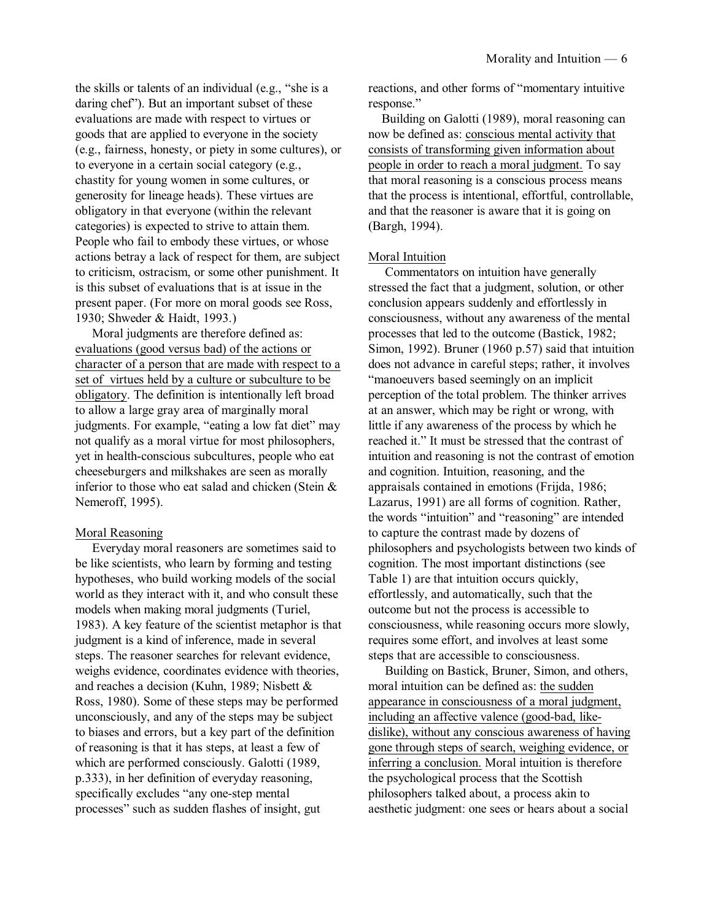the skills or talents of an individual (e.g., "she is a daring chef"). But an important subset of these evaluations are made with respect to virtues or goods that are applied to everyone in the society (e.g., fairness, honesty, or piety in some cultures), or to everyone in a certain social category (e.g., response."

chastity for young women in some cultures, or generosity for lineage heads). These virtues are obligatory in that everyone (within the relevant categories) is expected to strive to attain them. People who fail to embody these virtues, or whose actions betray a lack of respect for them, are subject to criticism, ostracism, or some other punishment. It is this subset of evaluations that is at issue in the present paper. (For more on moral goods see Ross, 1930; Shweder & Haidt, 1993.)

 Moral judgments are therefore defined as: evaluations (good versus bad) of the actions or character of a person that are made with respect to a set of virtues held by a culture or subculture to be obligatory. The definition is intentionally left broad to allow a large gray area of marginally moral judgments. For example, "eating a low fat diet" may not qualify as a moral virtue for most philosophers, yet in health-conscious subcultures, people who eat cheeseburgers and milkshakes are seen as morally inferior to those who eat salad and chicken (Stein & Nemeroff, 1995).

### Moral Reasoning

 Everyday moral reasoners are sometimes said to be like scientists, who learn by forming and testing hypotheses, who build working models of the social world as they interact with it, and who consult these models when making moral judgments (Turiel, 1983). A key feature of the scientist metaphor is that judgment is a kind of inference, made in several steps. The reasoner searches for relevant evidence, weighs evidence, coordinates evidence with theories, and reaches a decision (Kuhn, 1989; Nisbett & Ross, 1980). Some of these steps may be performed unconsciously, and any of the steps may be subject to biases and errors, but a key part of the definition of reasoning is that it has steps, at least a few of which are performed consciously. Galotti (1989, p.333), in her definition of everyday reasoning, specifically excludes "any one-step mental processes" such as sudden flashes of insight, gut

reactions, and other forms of "momentary intuitive

 Building on Galotti (1989), moral reasoning can now be defined as: conscious mental activity that consists of transforming given information about people in order to reach a moral judgment. To say that moral reasoning is a conscious process means that the process is intentional, effortful, controllable, and that the reasoner is aware that it is going on (Bargh, 1994).

### Moral Intuition

 Commentators on intuition have generally stressed the fact that a judgment, solution, or other conclusion appears suddenly and effortlessly in consciousness, without any awareness of the mental processes that led to the outcome (Bastick, 1982; Simon, 1992). Bruner (1960 p.57) said that intuition does not advance in careful steps; rather, it involves "manoeuvers based seemingly on an implicit perception of the total problem. The thinker arrives at an answer, which may be right or wrong, with little if any awareness of the process by which he reached it." It must be stressed that the contrast of intuition and reasoning is not the contrast of emotion and cognition. Intuition, reasoning, and the appraisals contained in emotions (Frijda, 1986; Lazarus, 1991) are all forms of cognition. Rather, the words "intuition" and "reasoning" are intended to capture the contrast made by dozens of philosophers and psychologists between two kinds of cognition. The most important distinctions (see Table 1) are that intuition occurs quickly, effortlessly, and automatically, such that the outcome but not the process is accessible to consciousness, while reasoning occurs more slowly, requires some effort, and involves at least some steps that are accessible to consciousness.

 Building on Bastick, Bruner, Simon, and others, moral intuition can be defined as: the sudden appearance in consciousness of a moral judgment, including an affective valence (good-bad, likedislike), without any conscious awareness of having gone through steps of search, weighing evidence, or inferring a conclusion. Moral intuition is therefore the psychological process that the Scottish philosophers talked about, a process akin to aesthetic judgment: one sees or hears about a social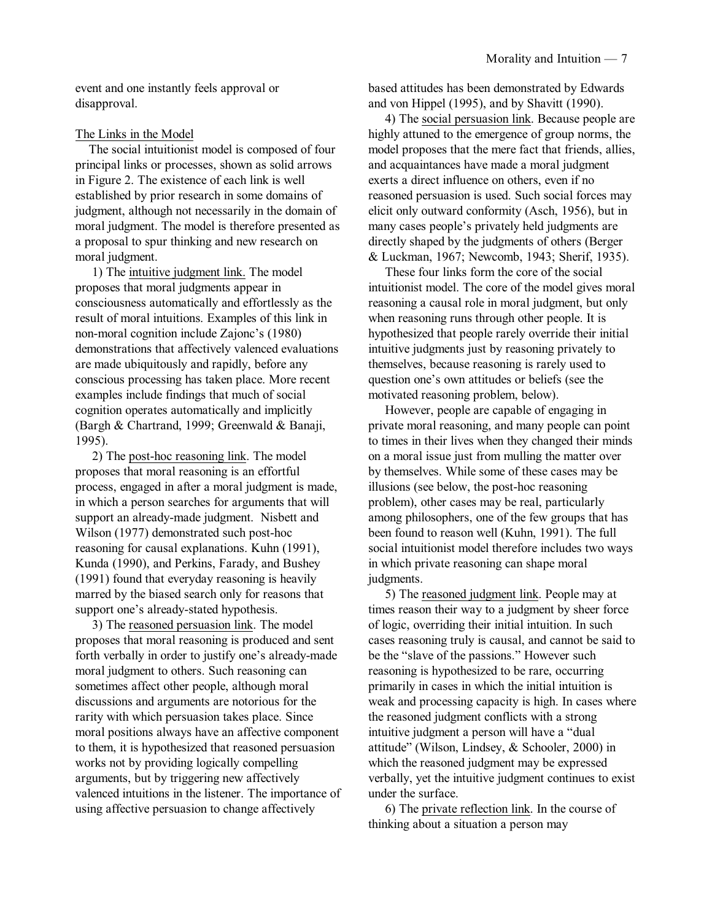event and one instantly feels approval or disapproval.

### The Links in the Model

 The social intuitionist model is composed of four principal links or processes, shown as solid arrows in Figure 2. The existence of each link is well established by prior research in some domains of judgment, although not necessarily in the domain of moral judgment. The model is therefore presented as a proposal to spur thinking and new research on moral judgment.

 1) The intuitive judgment link. The model proposes that moral judgments appear in consciousness automatically and effortlessly as the result of moral intuitions. Examples of this link in non-moral cognition include Zajonc's (1980) demonstrations that affectively valenced evaluations are made ubiquitously and rapidly, before any conscious processing has taken place. More recent examples include findings that much of social cognition operates automatically and implicitly (Bargh & Chartrand, 1999; Greenwald & Banaji, 1995).

 2) The post-hoc reasoning link. The model proposes that moral reasoning is an effortful process, engaged in after a moral judgment is made, in which a person searches for arguments that will support an already-made judgment. Nisbett and Wilson (1977) demonstrated such post-hoc reasoning for causal explanations. Kuhn (1991), Kunda (1990), and Perkins, Farady, and Bushey (1991) found that everyday reasoning is heavily marred by the biased search only for reasons that support one's already-stated hypothesis.

 3) The reasoned persuasion link. The model proposes that moral reasoning is produced and sent forth verbally in order to justify one's already-made moral judgment to others. Such reasoning can sometimes affect other people, although moral discussions and arguments are notorious for the rarity with which persuasion takes place. Since moral positions always have an affective component to them, it is hypothesized that reasoned persuasion works not by providing logically compelling arguments, but by triggering new affectively valenced intuitions in the listener. The importance of using affective persuasion to change affectively

based attitudes has been demonstrated by Edwards and von Hippel (1995), and by Shavitt (1990).

 4) The social persuasion link. Because people are highly attuned to the emergence of group norms, the model proposes that the mere fact that friends, allies, and acquaintances have made a moral judgment exerts a direct influence on others, even if no reasoned persuasion is used. Such social forces may elicit only outward conformity (Asch, 1956), but in many cases people's privately held judgments are directly shaped by the judgments of others (Berger & Luckman, 1967; Newcomb, 1943; Sherif, 1935).

 These four links form the core of the social intuitionist model. The core of the model gives moral reasoning a causal role in moral judgment, but only when reasoning runs through other people. It is hypothesized that people rarely override their initial intuitive judgments just by reasoning privately to themselves, because reasoning is rarely used to question one's own attitudes or beliefs (see the motivated reasoning problem, below).

 However, people are capable of engaging in private moral reasoning, and many people can point to times in their lives when they changed their minds on a moral issue just from mulling the matter over by themselves. While some of these cases may be illusions (see below, the post-hoc reasoning problem), other cases may be real, particularly among philosophers, one of the few groups that has been found to reason well (Kuhn, 1991). The full social intuitionist model therefore includes two ways in which private reasoning can shape moral judgments.

 5) The reasoned judgment link. People may at times reason their way to a judgment by sheer force of logic, overriding their initial intuition. In such cases reasoning truly is causal, and cannot be said to be the "slave of the passions." However such reasoning is hypothesized to be rare, occurring primarily in cases in which the initial intuition is weak and processing capacity is high. In cases where the reasoned judgment conflicts with a strong intuitive judgment a person will have a "dual attitude" (Wilson, Lindsey, & Schooler, 2000) in which the reasoned judgment may be expressed verbally, yet the intuitive judgment continues to exist under the surface.

 6) The private reflection link. In the course of thinking about a situation a person may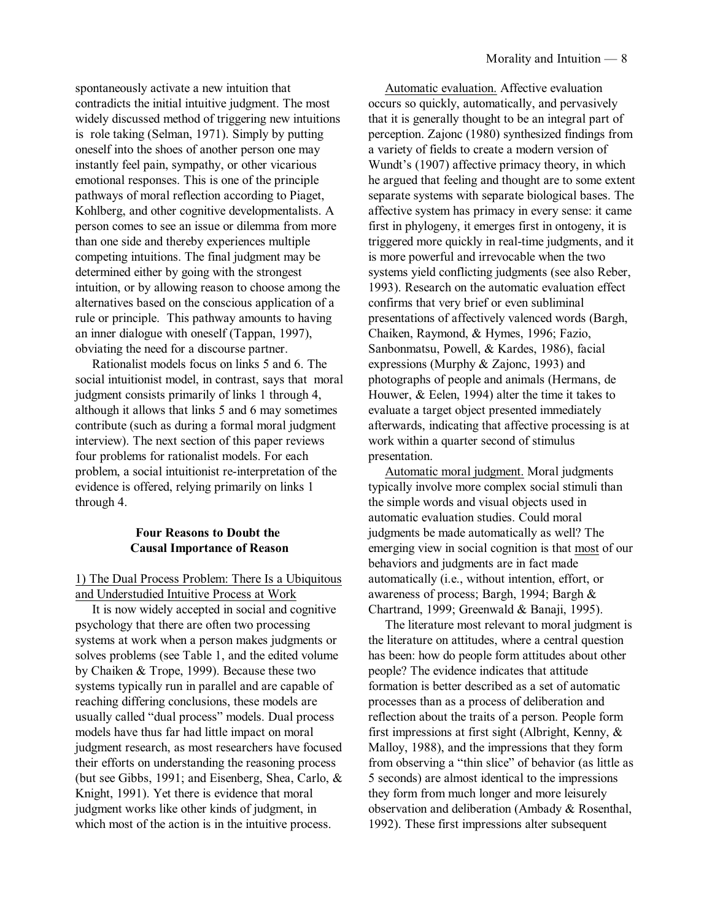spontaneously activate a new intuition that contradicts the initial intuitive judgment. The most widely discussed method of triggering new intuitions is role taking (Selman, 1971). Simply by putting oneself into the shoes of another person one may instantly feel pain, sympathy, or other vicarious emotional responses. This is one of the principle pathways of moral reflection according to Piaget, Kohlberg, and other cognitive developmentalists. A person comes to see an issue or dilemma from more than one side and thereby experiences multiple competing intuitions. The final judgment may be determined either by going with the strongest intuition, or by allowing reason to choose among the alternatives based on the conscious application of a rule or principle. This pathway amounts to having an inner dialogue with oneself (Tappan, 1997), obviating the need for a discourse partner.

 Rationalist models focus on links 5 and 6. The social intuitionist model, in contrast, says that moral judgment consists primarily of links 1 through 4, although it allows that links 5 and 6 may sometimes contribute (such as during a formal moral judgment interview). The next section of this paper reviews four problems for rationalist models. For each problem, a social intuitionist re-interpretation of the evidence is offered, relying primarily on links 1 through 4.

### **Four Reasons to Doubt the Causal Importance of Reason**

1) The Dual Process Problem: There Is a Ubiquitous and Understudied Intuitive Process at Work

 It is now widely accepted in social and cognitive psychology that there are often two processing systems at work when a person makes judgments or solves problems (see Table 1, and the edited volume by Chaiken & Trope, 1999). Because these two systems typically run in parallel and are capable of reaching differing conclusions, these models are usually called "dual process" models. Dual process models have thus far had little impact on moral judgment research, as most researchers have focused their efforts on understanding the reasoning process (but see Gibbs, 1991; and Eisenberg, Shea, Carlo, & Knight, 1991). Yet there is evidence that moral judgment works like other kinds of judgment, in which most of the action is in the intuitive process.

 Automatic evaluation. Affective evaluation occurs so quickly, automatically, and pervasively that it is generally thought to be an integral part of perception. Zajonc (1980) synthesized findings from a variety of fields to create a modern version of Wundt's (1907) affective primacy theory, in which he argued that feeling and thought are to some extent separate systems with separate biological bases. The affective system has primacy in every sense: it came first in phylogeny, it emerges first in ontogeny, it is triggered more quickly in real-time judgments, and it is more powerful and irrevocable when the two systems yield conflicting judgments (see also Reber, 1993). Research on the automatic evaluation effect confirms that very brief or even subliminal presentations of affectively valenced words (Bargh, Chaiken, Raymond, & Hymes, 1996; Fazio, Sanbonmatsu, Powell, & Kardes, 1986), facial expressions (Murphy & Zajonc, 1993) and photographs of people and animals (Hermans, de Houwer, & Eelen, 1994) alter the time it takes to evaluate a target object presented immediately afterwards, indicating that affective processing is at work within a quarter second of stimulus presentation.

 Automatic moral judgment. Moral judgments typically involve more complex social stimuli than the simple words and visual objects used in automatic evaluation studies. Could moral judgments be made automatically as well? The emerging view in social cognition is that most of our behaviors and judgments are in fact made automatically (i.e., without intention, effort, or awareness of process; Bargh, 1994; Bargh & Chartrand, 1999; Greenwald & Banaji, 1995).

 The literature most relevant to moral judgment is the literature on attitudes, where a central question has been: how do people form attitudes about other people? The evidence indicates that attitude formation is better described as a set of automatic processes than as a process of deliberation and reflection about the traits of a person. People form first impressions at first sight (Albright, Kenny, & Malloy, 1988), and the impressions that they form from observing a "thin slice" of behavior (as little as 5 seconds) are almost identical to the impressions they form from much longer and more leisurely observation and deliberation (Ambady & Rosenthal, 1992). These first impressions alter subsequent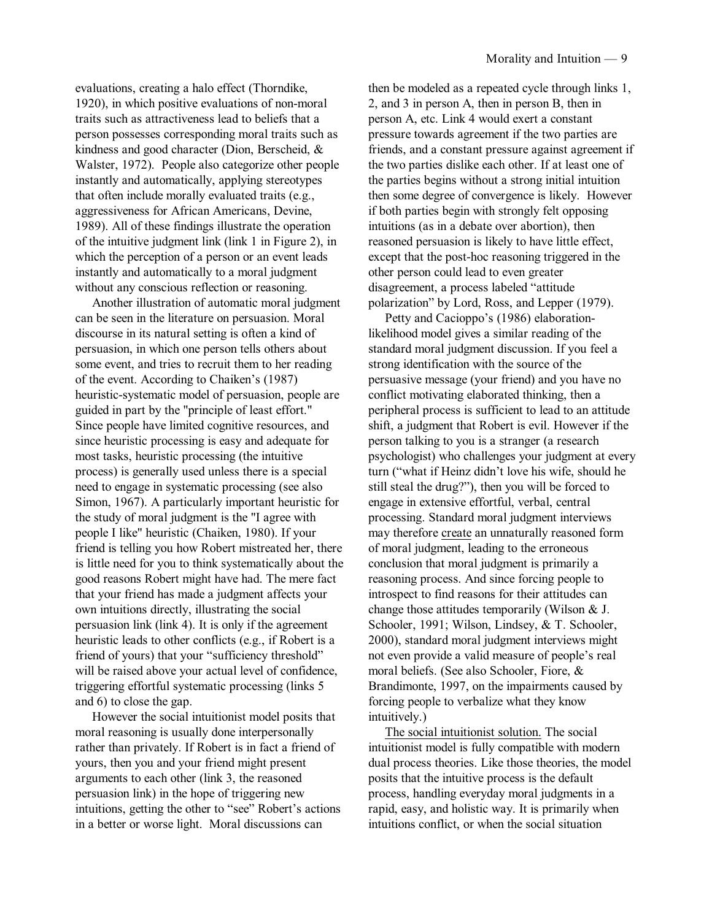evaluations, creating a halo effect (Thorndike, 1920), in which positive evaluations of non-moral traits such as attractiveness lead to beliefs that a person possesses corresponding moral traits such as kindness and good character (Dion, Berscheid, & Walster, 1972). People also categorize other people instantly and automatically, applying stereotypes that often include morally evaluated traits (e.g., aggressiveness for African Americans, Devine, 1989). All of these findings illustrate the operation of the intuitive judgment link (link 1 in Figure 2), in which the perception of a person or an event leads instantly and automatically to a moral judgment without any conscious reflection or reasoning.

 Another illustration of automatic moral judgment can be seen in the literature on persuasion. Moral discourse in its natural setting is often a kind of persuasion, in which one person tells others about some event, and tries to recruit them to her reading of the event. According to Chaiken's (1987) heuristic-systematic model of persuasion, people are guided in part by the "principle of least effort." Since people have limited cognitive resources, and since heuristic processing is easy and adequate for most tasks, heuristic processing (the intuitive process) is generally used unless there is a special need to engage in systematic processing (see also Simon, 1967). A particularly important heuristic for the study of moral judgment is the "I agree with people I like" heuristic (Chaiken, 1980). If your friend is telling you how Robert mistreated her, there is little need for you to think systematically about the good reasons Robert might have had. The mere fact that your friend has made a judgment affects your own intuitions directly, illustrating the social persuasion link (link 4). It is only if the agreement heuristic leads to other conflicts (e.g., if Robert is a friend of yours) that your "sufficiency threshold" will be raised above your actual level of confidence, triggering effortful systematic processing (links 5 and 6) to close the gap.

 However the social intuitionist model posits that moral reasoning is usually done interpersonally rather than privately. If Robert is in fact a friend of yours, then you and your friend might present arguments to each other (link 3, the reasoned persuasion link) in the hope of triggering new intuitions, getting the other to "see" Robert's actions in a better or worse light. Moral discussions can

then be modeled as a repeated cycle through links 1, 2, and 3 in person A, then in person B, then in person A, etc. Link 4 would exert a constant pressure towards agreement if the two parties are friends, and a constant pressure against agreement if the two parties dislike each other. If at least one of the parties begins without a strong initial intuition then some degree of convergence is likely. However if both parties begin with strongly felt opposing intuitions (as in a debate over abortion), then reasoned persuasion is likely to have little effect, except that the post-hoc reasoning triggered in the other person could lead to even greater disagreement, a process labeled "attitude polarization" by Lord, Ross, and Lepper (1979).

 Petty and Cacioppo's (1986) elaborationlikelihood model gives a similar reading of the standard moral judgment discussion. If you feel a strong identification with the source of the persuasive message (your friend) and you have no conflict motivating elaborated thinking, then a peripheral process is sufficient to lead to an attitude shift, a judgment that Robert is evil. However if the person talking to you is a stranger (a research psychologist) who challenges your judgment at every turn ("what if Heinz didn't love his wife, should he still steal the drug?"), then you will be forced to engage in extensive effortful, verbal, central processing. Standard moral judgment interviews may therefore create an unnaturally reasoned form of moral judgment, leading to the erroneous conclusion that moral judgment is primarily a reasoning process. And since forcing people to introspect to find reasons for their attitudes can change those attitudes temporarily (Wilson & J. Schooler, 1991; Wilson, Lindsey, & T. Schooler, 2000), standard moral judgment interviews might not even provide a valid measure of people's real moral beliefs. (See also Schooler, Fiore, & Brandimonte, 1997, on the impairments caused by forcing people to verbalize what they know intuitively.)

 The social intuitionist solution. The social intuitionist model is fully compatible with modern dual process theories. Like those theories, the model posits that the intuitive process is the default process, handling everyday moral judgments in a rapid, easy, and holistic way. It is primarily when intuitions conflict, or when the social situation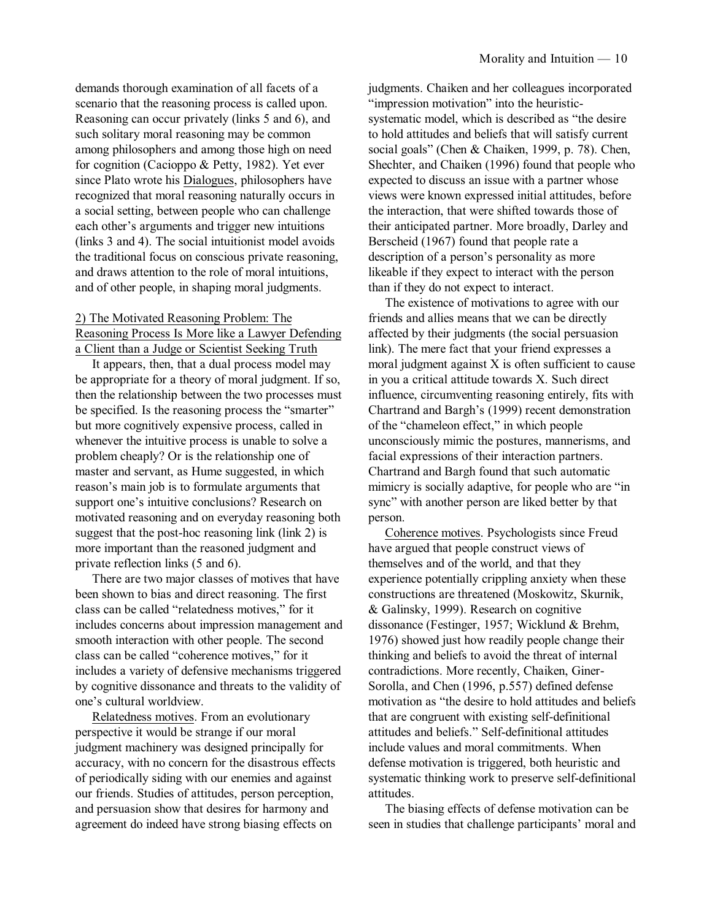demands thorough examination of all facets of a scenario that the reasoning process is called upon. Reasoning can occur privately (links 5 and 6), and such solitary moral reasoning may be common among philosophers and among those high on need for cognition (Cacioppo & Petty, 1982). Yet ever since Plato wrote his Dialogues, philosophers have recognized that moral reasoning naturally occurs in a social setting, between people who can challenge each other's arguments and trigger new intuitions (links 3 and 4). The social intuitionist model avoids the traditional focus on conscious private reasoning, and draws attention to the role of moral intuitions, and of other people, in shaping moral judgments.

# 2) The Motivated Reasoning Problem: The Reasoning Process Is More like a Lawyer Defending a Client than a Judge or Scientist Seeking Truth

 It appears, then, that a dual process model may be appropriate for a theory of moral judgment. If so, then the relationship between the two processes must be specified. Is the reasoning process the "smarter" but more cognitively expensive process, called in whenever the intuitive process is unable to solve a problem cheaply? Or is the relationship one of master and servant, as Hume suggested, in which reason's main job is to formulate arguments that support one's intuitive conclusions? Research on motivated reasoning and on everyday reasoning both suggest that the post-hoc reasoning link (link 2) is more important than the reasoned judgment and private reflection links (5 and 6).

 There are two major classes of motives that have been shown to bias and direct reasoning. The first class can be called "relatedness motives," for it includes concerns about impression management and smooth interaction with other people. The second class can be called "coherence motives," for it includes a variety of defensive mechanisms triggered by cognitive dissonance and threats to the validity of one's cultural worldview.

 Relatedness motives. From an evolutionary perspective it would be strange if our moral judgment machinery was designed principally for accuracy, with no concern for the disastrous effects of periodically siding with our enemies and against our friends. Studies of attitudes, person perception, and persuasion show that desires for harmony and agreement do indeed have strong biasing effects on

judgments. Chaiken and her colleagues incorporated "impression motivation" into the heuristicsystematic model, which is described as "the desire to hold attitudes and beliefs that will satisfy current social goals" (Chen & Chaiken, 1999, p. 78). Chen, Shechter, and Chaiken (1996) found that people who expected to discuss an issue with a partner whose views were known expressed initial attitudes, before the interaction, that were shifted towards those of their anticipated partner. More broadly, Darley and Berscheid (1967) found that people rate a description of a person's personality as more likeable if they expect to interact with the person than if they do not expect to interact.

 The existence of motivations to agree with our friends and allies means that we can be directly affected by their judgments (the social persuasion link). The mere fact that your friend expresses a moral judgment against X is often sufficient to cause in you a critical attitude towards X. Such direct influence, circumventing reasoning entirely, fits with Chartrand and Bargh's (1999) recent demonstration of the "chameleon effect," in which people unconsciously mimic the postures, mannerisms, and facial expressions of their interaction partners. Chartrand and Bargh found that such automatic mimicry is socially adaptive, for people who are "in sync" with another person are liked better by that person.

 Coherence motives. Psychologists since Freud have argued that people construct views of themselves and of the world, and that they experience potentially crippling anxiety when these constructions are threatened (Moskowitz, Skurnik, & Galinsky, 1999). Research on cognitive dissonance (Festinger, 1957; Wicklund & Brehm, 1976) showed just how readily people change their thinking and beliefs to avoid the threat of internal contradictions. More recently, Chaiken, Giner-Sorolla, and Chen (1996, p.557) defined defense motivation as "the desire to hold attitudes and beliefs that are congruent with existing self-definitional attitudes and beliefs." Self-definitional attitudes include values and moral commitments. When defense motivation is triggered, both heuristic and systematic thinking work to preserve self-definitional attitudes.

 The biasing effects of defense motivation can be seen in studies that challenge participants' moral and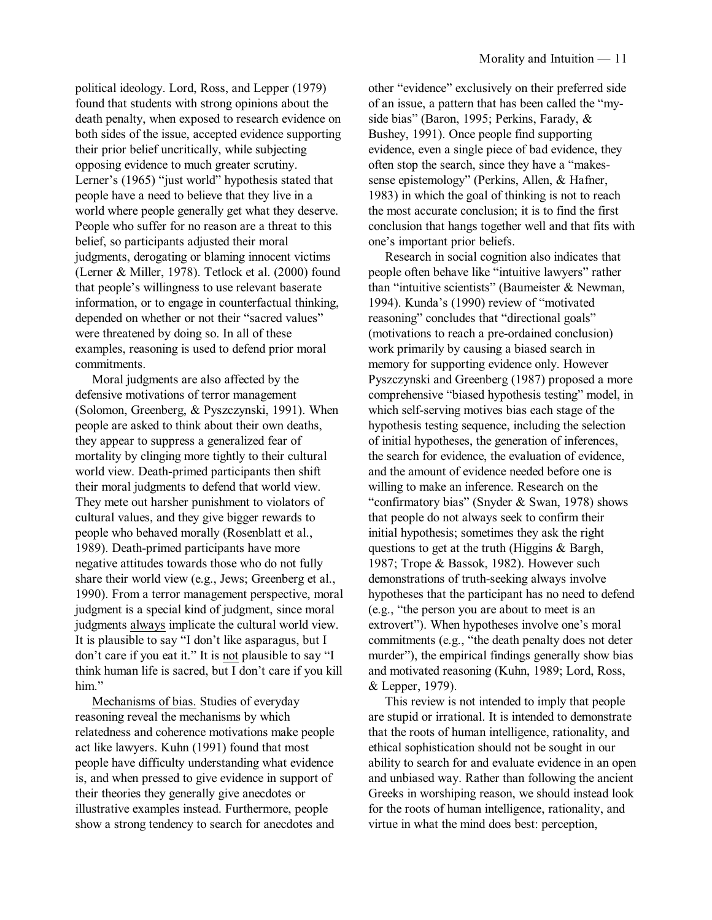political ideology. Lord, Ross, and Lepper (1979) found that students with strong opinions about the death penalty, when exposed to research evidence on both sides of the issue, accepted evidence supporting their prior belief uncritically, while subjecting opposing evidence to much greater scrutiny. Lerner's (1965) "just world" hypothesis stated that people have a need to believe that they live in a world where people generally get what they deserve. People who suffer for no reason are a threat to this belief, so participants adjusted their moral judgments, derogating or blaming innocent victims (Lerner & Miller, 1978). Tetlock et al. (2000) found that people's willingness to use relevant baserate information, or to engage in counterfactual thinking, depended on whether or not their "sacred values" were threatened by doing so. In all of these examples, reasoning is used to defend prior moral commitments.

 Moral judgments are also affected by the defensive motivations of terror management (Solomon, Greenberg, & Pyszczynski, 1991). When people are asked to think about their own deaths, they appear to suppress a generalized fear of mortality by clinging more tightly to their cultural world view. Death-primed participants then shift their moral judgments to defend that world view. They mete out harsher punishment to violators of cultural values, and they give bigger rewards to people who behaved morally (Rosenblatt et al., 1989). Death-primed participants have more negative attitudes towards those who do not fully share their world view (e.g., Jews; Greenberg et al., 1990). From a terror management perspective, moral judgment is a special kind of judgment, since moral judgments always implicate the cultural world view. It is plausible to say "I don't like asparagus, but I don't care if you eat it." It is not plausible to say "I think human life is sacred, but I don't care if you kill him."

 Mechanisms of bias. Studies of everyday reasoning reveal the mechanisms by which relatedness and coherence motivations make people act like lawyers. Kuhn (1991) found that most people have difficulty understanding what evidence is, and when pressed to give evidence in support of their theories they generally give anecdotes or illustrative examples instead. Furthermore, people show a strong tendency to search for anecdotes and other "evidence" exclusively on their preferred side of an issue, a pattern that has been called the "myside bias" (Baron, 1995; Perkins, Farady, & Bushey, 1991). Once people find supporting evidence, even a single piece of bad evidence, they often stop the search, since they have a "makessense epistemology" (Perkins, Allen, & Hafner, 1983) in which the goal of thinking is not to reach the most accurate conclusion; it is to find the first conclusion that hangs together well and that fits with one's important prior beliefs.

 Research in social cognition also indicates that people often behave like "intuitive lawyers" rather than "intuitive scientists" (Baumeister & Newman, 1994). Kunda's (1990) review of "motivated reasoning" concludes that "directional goals" (motivations to reach a pre-ordained conclusion) work primarily by causing a biased search in memory for supporting evidence only. However Pyszczynski and Greenberg (1987) proposed a more comprehensive "biased hypothesis testing" model, in which self-serving motives bias each stage of the hypothesis testing sequence, including the selection of initial hypotheses, the generation of inferences, the search for evidence, the evaluation of evidence, and the amount of evidence needed before one is willing to make an inference. Research on the "confirmatory bias" (Snyder & Swan, 1978) shows that people do not always seek to confirm their initial hypothesis; sometimes they ask the right questions to get at the truth (Higgins & Bargh, 1987; Trope & Bassok, 1982). However such demonstrations of truth-seeking always involve hypotheses that the participant has no need to defend (e.g., "the person you are about to meet is an extrovert"). When hypotheses involve one's moral commitments (e.g., "the death penalty does not deter murder"), the empirical findings generally show bias and motivated reasoning (Kuhn, 1989; Lord, Ross, & Lepper, 1979).

 This review is not intended to imply that people are stupid or irrational. It is intended to demonstrate that the roots of human intelligence, rationality, and ethical sophistication should not be sought in our ability to search for and evaluate evidence in an open and unbiased way. Rather than following the ancient Greeks in worshiping reason, we should instead look for the roots of human intelligence, rationality, and virtue in what the mind does best: perception,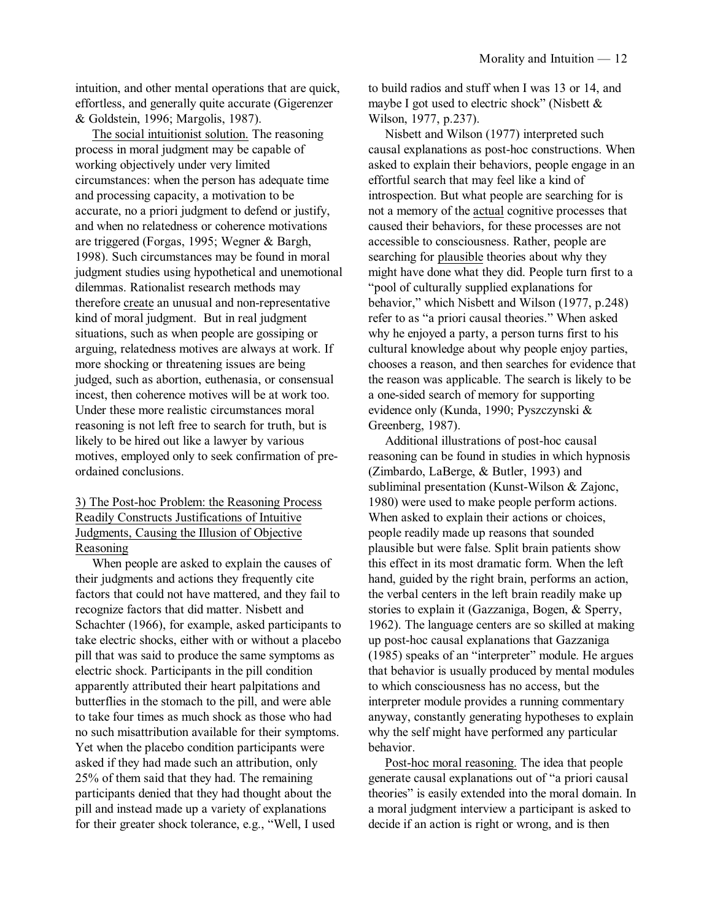intuition, and other mental operations that are quick, effortless, and generally quite accurate (Gigerenzer & Goldstein, 1996; Margolis, 1987).

 The social intuitionist solution. The reasoning process in moral judgment may be capable of working objectively under very limited circumstances: when the person has adequate time and processing capacity, a motivation to be accurate, no a priori judgment to defend or justify, and when no relatedness or coherence motivations are triggered (Forgas, 1995; Wegner & Bargh, 1998). Such circumstances may be found in moral judgment studies using hypothetical and unemotional dilemmas. Rationalist research methods may therefore create an unusual and non-representative kind of moral judgment. But in real judgment situations, such as when people are gossiping or arguing, relatedness motives are always at work. If more shocking or threatening issues are being judged, such as abortion, euthenasia, or consensual incest, then coherence motives will be at work too. Under these more realistic circumstances moral reasoning is not left free to search for truth, but is likely to be hired out like a lawyer by various motives, employed only to seek confirmation of preordained conclusions.

# 3) The Post-hoc Problem: the Reasoning Process Readily Constructs Justifications of Intuitive Judgments, Causing the Illusion of Objective Reasoning

 When people are asked to explain the causes of their judgments and actions they frequently cite factors that could not have mattered, and they fail to recognize factors that did matter. Nisbett and Schachter (1966), for example, asked participants to take electric shocks, either with or without a placebo pill that was said to produce the same symptoms as electric shock. Participants in the pill condition apparently attributed their heart palpitations and butterflies in the stomach to the pill, and were able to take four times as much shock as those who had no such misattribution available for their symptoms. Yet when the placebo condition participants were asked if they had made such an attribution, only 25% of them said that they had. The remaining participants denied that they had thought about the pill and instead made up a variety of explanations for their greater shock tolerance, e.g., "Well, I used

to build radios and stuff when I was 13 or 14, and maybe I got used to electric shock" (Nisbett  $\&$ Wilson, 1977, p.237).

 Nisbett and Wilson (1977) interpreted such causal explanations as post-hoc constructions. When asked to explain their behaviors, people engage in an effortful search that may feel like a kind of introspection. But what people are searching for is not a memory of the actual cognitive processes that caused their behaviors, for these processes are not accessible to consciousness. Rather, people are searching for plausible theories about why they might have done what they did. People turn first to a "pool of culturally supplied explanations for behavior," which Nisbett and Wilson (1977, p.248) refer to as "a priori causal theories." When asked why he enjoyed a party, a person turns first to his cultural knowledge about why people enjoy parties, chooses a reason, and then searches for evidence that the reason was applicable. The search is likely to be a one-sided search of memory for supporting evidence only (Kunda, 1990; Pyszczynski & Greenberg, 1987).

 Additional illustrations of post-hoc causal reasoning can be found in studies in which hypnosis (Zimbardo, LaBerge, & Butler, 1993) and subliminal presentation (Kunst-Wilson & Zajonc, 1980) were used to make people perform actions. When asked to explain their actions or choices, people readily made up reasons that sounded plausible but were false. Split brain patients show this effect in its most dramatic form. When the left hand, guided by the right brain, performs an action, the verbal centers in the left brain readily make up stories to explain it (Gazzaniga, Bogen, & Sperry, 1962). The language centers are so skilled at making up post-hoc causal explanations that Gazzaniga (1985) speaks of an "interpreter" module. He argues that behavior is usually produced by mental modules to which consciousness has no access, but the interpreter module provides a running commentary anyway, constantly generating hypotheses to explain why the self might have performed any particular behavior.

 Post-hoc moral reasoning. The idea that people generate causal explanations out of "a priori causal theories" is easily extended into the moral domain. In a moral judgment interview a participant is asked to decide if an action is right or wrong, and is then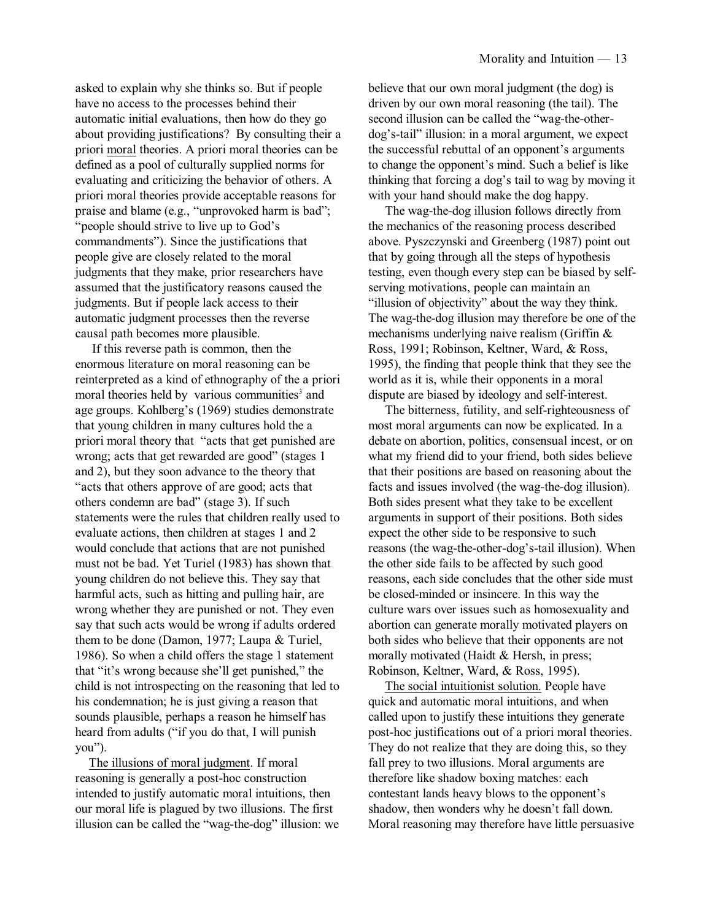asked to explain why she thinks so. But if people have no access to the processes behind their automatic initial evaluations, then how do they go about providing justifications? By consulting their a priori moral theories. A priori moral theories can be defined as a pool of culturally supplied norms for evaluating and criticizing the behavior of others. A priori moral theories provide acceptable reasons for praise and blame (e.g., "unprovoked harm is bad"; "people should strive to live up to God's commandments"). Since the justifications that people give are closely related to the moral judgments that they make, prior researchers have assumed that the justificatory reasons caused the judgments. But if people lack access to their automatic judgment processes then the reverse causal path becomes more plausible.

 If this reverse path is common, then the enormous literature on moral reasoning can be reinterpreted as a kind of ethnography of the a priori moral theories held by various communities<sup>3</sup> and age groups. Kohlberg's (1969) studies demonstrate that young children in many cultures hold the a priori moral theory that "acts that get punished are wrong; acts that get rewarded are good" (stages 1 and 2), but they soon advance to the theory that "acts that others approve of are good; acts that others condemn are bad" (stage 3). If such statements were the rules that children really used to evaluate actions, then children at stages 1 and 2 would conclude that actions that are not punished must not be bad. Yet Turiel (1983) has shown that young children do not believe this. They say that harmful acts, such as hitting and pulling hair, are wrong whether they are punished or not. They even say that such acts would be wrong if adults ordered them to be done (Damon, 1977; Laupa & Turiel, 1986). So when a child offers the stage 1 statement that "it's wrong because she'll get punished," the child is not introspecting on the reasoning that led to his condemnation; he is just giving a reason that sounds plausible, perhaps a reason he himself has heard from adults ("if you do that, I will punish you").

 The illusions of moral judgment. If moral reasoning is generally a post-hoc construction intended to justify automatic moral intuitions, then our moral life is plagued by two illusions. The first illusion can be called the "wag-the-dog" illusion: we believe that our own moral judgment (the dog) is driven by our own moral reasoning (the tail). The second illusion can be called the "wag-the-otherdog's-tail" illusion: in a moral argument, we expect the successful rebuttal of an opponent's arguments to change the opponent's mind. Such a belief is like thinking that forcing a dog's tail to wag by moving it with your hand should make the dog happy.

 The wag-the-dog illusion follows directly from the mechanics of the reasoning process described above. Pyszczynski and Greenberg (1987) point out that by going through all the steps of hypothesis testing, even though every step can be biased by selfserving motivations, people can maintain an "illusion of objectivity" about the way they think. The wag-the-dog illusion may therefore be one of the mechanisms underlying naive realism (Griffin & Ross, 1991; Robinson, Keltner, Ward, & Ross, 1995), the finding that people think that they see the world as it is, while their opponents in a moral dispute are biased by ideology and self-interest.

 The bitterness, futility, and self-righteousness of most moral arguments can now be explicated. In a debate on abortion, politics, consensual incest, or on what my friend did to your friend, both sides believe that their positions are based on reasoning about the facts and issues involved (the wag-the-dog illusion). Both sides present what they take to be excellent arguments in support of their positions. Both sides expect the other side to be responsive to such reasons (the wag-the-other-dog's-tail illusion). When the other side fails to be affected by such good reasons, each side concludes that the other side must be closed-minded or insincere. In this way the culture wars over issues such as homosexuality and abortion can generate morally motivated players on both sides who believe that their opponents are not morally motivated (Haidt & Hersh, in press; Robinson, Keltner, Ward, & Ross, 1995).

 The social intuitionist solution. People have quick and automatic moral intuitions, and when called upon to justify these intuitions they generate post-hoc justifications out of a priori moral theories. They do not realize that they are doing this, so they fall prey to two illusions. Moral arguments are therefore like shadow boxing matches: each contestant lands heavy blows to the opponent's shadow, then wonders why he doesn't fall down. Moral reasoning may therefore have little persuasive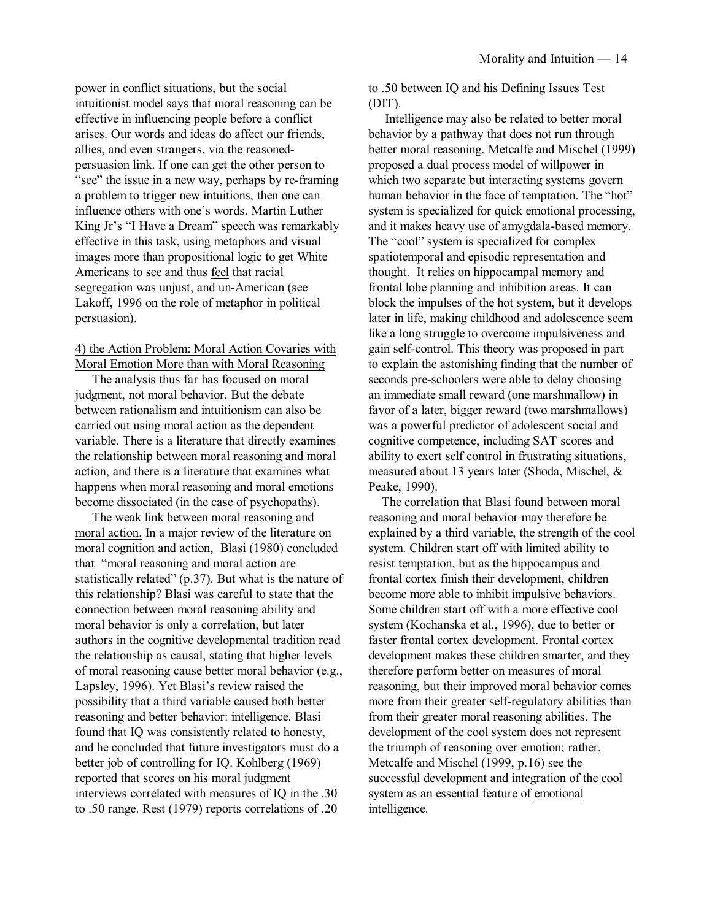power in conflict situations, but the social intuitionist model says that moral reasoning can be effective in influencing people before a conflict arises. Our words and ideas do affect our friends, allies, and even strangers, via the reasonedpersuasion link. If one can get the other person to "see" the issue in a new way, perhaps by re-framing a problem to trigger new intuitions, then one can influence others with one's words. Martin Luther King Jr's "I Have a Dream" speech was remarkably effective in this task, using metaphors and visual images more than propositional logic to get White Americans to see and thus feel that racial segregation was unjust, and un-American (see Lakoff, 1996 on the role of metaphor in political persuasion).

### 4) the Action Problem: Moral Action Covaries with Moral Emotion More than with Moral Reasoning

 The analysis thus far has focused on moral judgment, not moral behavior. But the debate between rationalism and intuitionism can also be carried out using moral action as the dependent variable. There is a literature that directly examines the relationship between moral reasoning and moral action, and there is a literature that examines what happens when moral reasoning and moral emotions become dissociated (in the case of psychopaths).

 The weak link between moral reasoning and moral action. In a major review of the literature on moral cognition and action, Blasi (1980) concluded that "moral reasoning and moral action are statistically related" (p.37). But what is the nature of this relationship? Blasi was careful to state that the connection between moral reasoning ability and moral behavior is only a correlation, but later authors in the cognitive developmental tradition read the relationship as causal, stating that higher levels of moral reasoning cause better moral behavior (e.g., Lapsley, 1996). Yet Blasi's review raised the possibility that a third variable caused both better reasoning and better behavior: intelligence. Blasi found that IQ was consistently related to honesty, and he concluded that future investigators must do a better job of controlling for IQ. Kohlberg (1969) reported that scores on his moral judgment interviews correlated with measures of IQ in the .30 to .50 range. Rest (1979) reports correlations of .20

to .50 between IQ and his Defining Issues Test (DIT).

 Intelligence may also be related to better moral behavior by a pathway that does not run through better moral reasoning. Metcalfe and Mischel (1999) proposed a dual process model of willpower in which two separate but interacting systems govern human behavior in the face of temptation. The "hot" system is specialized for quick emotional processing, and it makes heavy use of amygdala-based memory. The "cool" system is specialized for complex spatiotemporal and episodic representation and thought. It relies on hippocampal memory and frontal lobe planning and inhibition areas. It can block the impulses of the hot system, but it develops later in life, making childhood and adolescence seem like a long struggle to overcome impulsiveness and gain self-control. This theory was proposed in part to explain the astonishing finding that the number of seconds pre-schoolers were able to delay choosing an immediate small reward (one marshmallow) in favor of a later, bigger reward (two marshmallows) was a powerful predictor of adolescent social and cognitive competence, including SAT scores and ability to exert self control in frustrating situations, measured about 13 years later (Shoda, Mischel, & Peake, 1990).

 The correlation that Blasi found between moral reasoning and moral behavior may therefore be explained by a third variable, the strength of the cool system. Children start off with limited ability to resist temptation, but as the hippocampus and frontal cortex finish their development, children become more able to inhibit impulsive behaviors. Some children start off with a more effective cool system (Kochanska et al., 1996), due to better or faster frontal cortex development. Frontal cortex development makes these children smarter, and they therefore perform better on measures of moral reasoning, but their improved moral behavior comes more from their greater self-regulatory abilities than from their greater moral reasoning abilities. The development of the cool system does not represent the triumph of reasoning over emotion; rather, Metcalfe and Mischel (1999, p.16) see the successful development and integration of the cool system as an essential feature of emotional intelligence.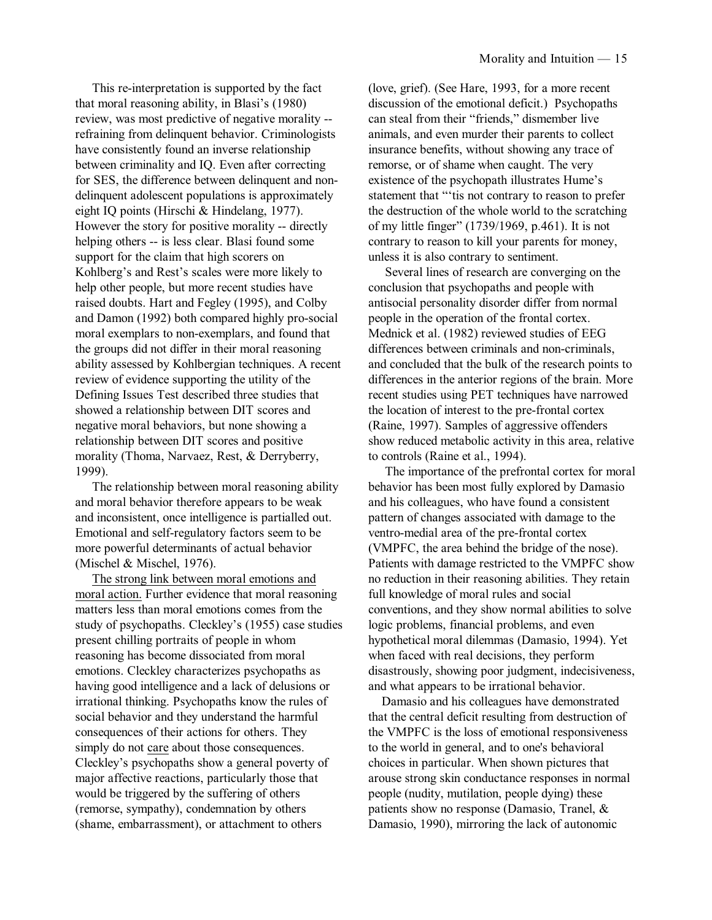This re-interpretation is supported by the fact that moral reasoning ability, in Blasi's (1980) review, was most predictive of negative morality - refraining from delinquent behavior. Criminologists have consistently found an inverse relationship between criminality and IQ. Even after correcting for SES, the difference between delinquent and nondelinquent adolescent populations is approximately eight IQ points (Hirschi & Hindelang, 1977). However the story for positive morality -- directly helping others -- is less clear. Blasi found some support for the claim that high scorers on Kohlberg's and Rest's scales were more likely to help other people, but more recent studies have raised doubts. Hart and Fegley (1995), and Colby and Damon (1992) both compared highly pro-social moral exemplars to non-exemplars, and found that the groups did not differ in their moral reasoning ability assessed by Kohlbergian techniques. A recent review of evidence supporting the utility of the Defining Issues Test described three studies that showed a relationship between DIT scores and negative moral behaviors, but none showing a relationship between DIT scores and positive morality (Thoma, Narvaez, Rest, & Derryberry, 1999).

 The relationship between moral reasoning ability and moral behavior therefore appears to be weak and inconsistent, once intelligence is partialled out. Emotional and self-regulatory factors seem to be more powerful determinants of actual behavior (Mischel & Mischel, 1976).

 The strong link between moral emotions and moral action. Further evidence that moral reasoning matters less than moral emotions comes from the study of psychopaths. Cleckley's (1955) case studies present chilling portraits of people in whom reasoning has become dissociated from moral emotions. Cleckley characterizes psychopaths as having good intelligence and a lack of delusions or irrational thinking. Psychopaths know the rules of social behavior and they understand the harmful consequences of their actions for others. They simply do not care about those consequences. Cleckley's psychopaths show a general poverty of major affective reactions, particularly those that would be triggered by the suffering of others (remorse, sympathy), condemnation by others (shame, embarrassment), or attachment to others

(love, grief). (See Hare, 1993, for a more recent discussion of the emotional deficit.) Psychopaths can steal from their "friends," dismember live animals, and even murder their parents to collect insurance benefits, without showing any trace of remorse, or of shame when caught. The very existence of the psychopath illustrates Hume's statement that "'tis not contrary to reason to prefer the destruction of the whole world to the scratching of my little finger" (1739/1969, p.461). It is not contrary to reason to kill your parents for money, unless it is also contrary to sentiment.

 Several lines of research are converging on the conclusion that psychopaths and people with antisocial personality disorder differ from normal people in the operation of the frontal cortex. Mednick et al. (1982) reviewed studies of EEG differences between criminals and non-criminals, and concluded that the bulk of the research points to differences in the anterior regions of the brain. More recent studies using PET techniques have narrowed the location of interest to the pre-frontal cortex (Raine, 1997). Samples of aggressive offenders show reduced metabolic activity in this area, relative to controls (Raine et al., 1994).

 The importance of the prefrontal cortex for moral behavior has been most fully explored by Damasio and his colleagues, who have found a consistent pattern of changes associated with damage to the ventro-medial area of the pre-frontal cortex (VMPFC, the area behind the bridge of the nose). Patients with damage restricted to the VMPFC show no reduction in their reasoning abilities. They retain full knowledge of moral rules and social conventions, and they show normal abilities to solve logic problems, financial problems, and even hypothetical moral dilemmas (Damasio, 1994). Yet when faced with real decisions, they perform disastrously, showing poor judgment, indecisiveness, and what appears to be irrational behavior.

 Damasio and his colleagues have demonstrated that the central deficit resulting from destruction of the VMPFC is the loss of emotional responsiveness to the world in general, and to one's behavioral choices in particular. When shown pictures that arouse strong skin conductance responses in normal people (nudity, mutilation, people dying) these patients show no response (Damasio, Tranel, & Damasio, 1990), mirroring the lack of autonomic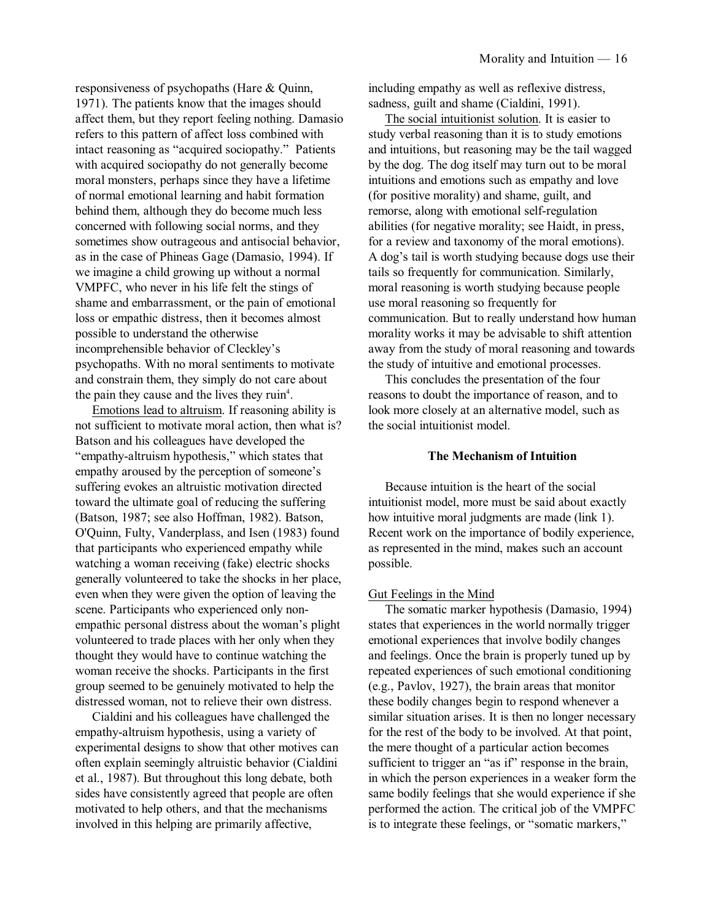responsiveness of psychopaths (Hare & Quinn, 1971). The patients know that the images should affect them, but they report feeling nothing. Damasio refers to this pattern of affect loss combined with intact reasoning as "acquired sociopathy." Patients with acquired sociopathy do not generally become moral monsters, perhaps since they have a lifetime of normal emotional learning and habit formation behind them, although they do become much less concerned with following social norms, and they sometimes show outrageous and antisocial behavior, as in the case of Phineas Gage (Damasio, 1994). If we imagine a child growing up without a normal VMPFC, who never in his life felt the stings of shame and embarrassment, or the pain of emotional loss or empathic distress, then it becomes almost possible to understand the otherwise incomprehensible behavior of Cleckley's psychopaths. With no moral sentiments to motivate and constrain them, they simply do not care about the pain they cause and the lives they ruin<sup>4</sup>.

 Emotions lead to altruism. If reasoning ability is not sufficient to motivate moral action, then what is? Batson and his colleagues have developed the "empathy-altruism hypothesis," which states that empathy aroused by the perception of someone's suffering evokes an altruistic motivation directed toward the ultimate goal of reducing the suffering (Batson, 1987; see also Hoffman, 1982). Batson, O'Quinn, Fulty, Vanderplass, and Isen (1983) found that participants who experienced empathy while watching a woman receiving (fake) electric shocks generally volunteered to take the shocks in her place, even when they were given the option of leaving the scene. Participants who experienced only nonempathic personal distress about the woman's plight volunteered to trade places with her only when they thought they would have to continue watching the woman receive the shocks. Participants in the first group seemed to be genuinely motivated to help the distressed woman, not to relieve their own distress.

 Cialdini and his colleagues have challenged the empathy-altruism hypothesis, using a variety of experimental designs to show that other motives can often explain seemingly altruistic behavior (Cialdini et al., 1987). But throughout this long debate, both sides have consistently agreed that people are often motivated to help others, and that the mechanisms involved in this helping are primarily affective,

including empathy as well as reflexive distress, sadness, guilt and shame (Cialdini, 1991).

 The social intuitionist solution. It is easier to study verbal reasoning than it is to study emotions and intuitions, but reasoning may be the tail wagged by the dog. The dog itself may turn out to be moral intuitions and emotions such as empathy and love (for positive morality) and shame, guilt, and remorse, along with emotional self-regulation abilities (for negative morality; see Haidt, in press, for a review and taxonomy of the moral emotions). A dog's tail is worth studying because dogs use their tails so frequently for communication. Similarly, moral reasoning is worth studying because people use moral reasoning so frequently for communication. But to really understand how human morality works it may be advisable to shift attention away from the study of moral reasoning and towards the study of intuitive and emotional processes.

 This concludes the presentation of the four reasons to doubt the importance of reason, and to look more closely at an alternative model, such as the social intuitionist model.

#### **The Mechanism of Intuition**

 Because intuition is the heart of the social intuitionist model, more must be said about exactly how intuitive moral judgments are made (link 1). Recent work on the importance of bodily experience, as represented in the mind, makes such an account possible.

#### Gut Feelings in the Mind

 The somatic marker hypothesis (Damasio, 1994) states that experiences in the world normally trigger emotional experiences that involve bodily changes and feelings. Once the brain is properly tuned up by repeated experiences of such emotional conditioning (e.g., Pavlov, 1927), the brain areas that monitor these bodily changes begin to respond whenever a similar situation arises. It is then no longer necessary for the rest of the body to be involved. At that point, the mere thought of a particular action becomes sufficient to trigger an "as if" response in the brain, in which the person experiences in a weaker form the same bodily feelings that she would experience if she performed the action. The critical job of the VMPFC is to integrate these feelings, or "somatic markers,"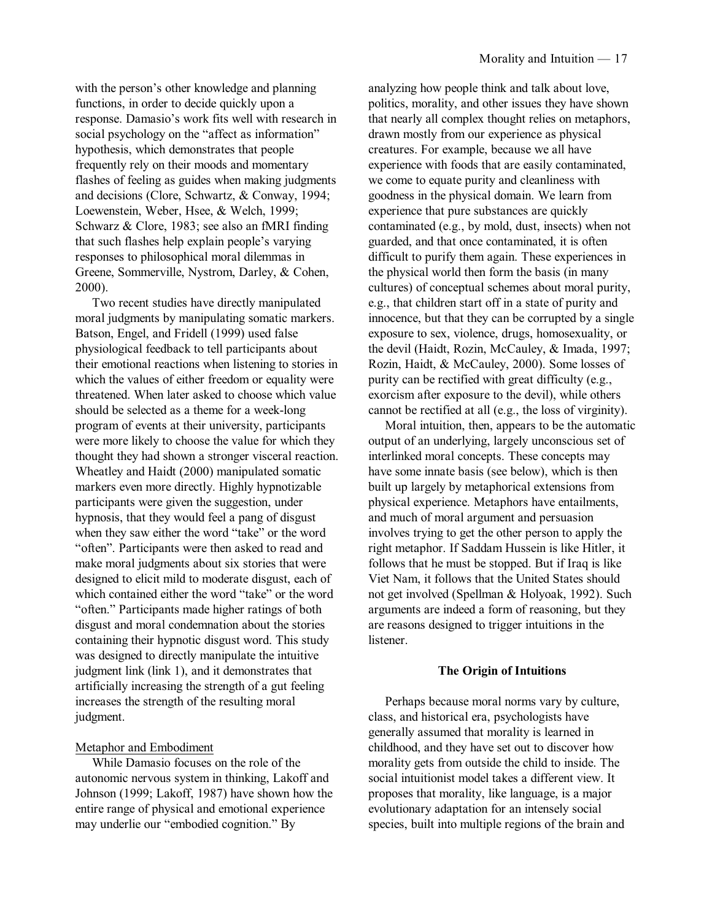with the person's other knowledge and planning functions, in order to decide quickly upon a response. Damasio's work fits well with research in social psychology on the "affect as information" hypothesis, which demonstrates that people frequently rely on their moods and momentary flashes of feeling as guides when making judgments and decisions (Clore, Schwartz, & Conway, 1994; Loewenstein, Weber, Hsee, & Welch, 1999; Schwarz & Clore, 1983; see also an fMRI finding that such flashes help explain people's varying responses to philosophical moral dilemmas in Greene, Sommerville, Nystrom, Darley, & Cohen, 2000).

 Two recent studies have directly manipulated moral judgments by manipulating somatic markers. Batson, Engel, and Fridell (1999) used false physiological feedback to tell participants about their emotional reactions when listening to stories in which the values of either freedom or equality were threatened. When later asked to choose which value should be selected as a theme for a week-long program of events at their university, participants were more likely to choose the value for which they thought they had shown a stronger visceral reaction. Wheatley and Haidt (2000) manipulated somatic markers even more directly. Highly hypnotizable participants were given the suggestion, under hypnosis, that they would feel a pang of disgust when they saw either the word "take" or the word "often". Participants were then asked to read and make moral judgments about six stories that were designed to elicit mild to moderate disgust, each of which contained either the word "take" or the word "often." Participants made higher ratings of both disgust and moral condemnation about the stories containing their hypnotic disgust word. This study was designed to directly manipulate the intuitive judgment link (link 1), and it demonstrates that artificially increasing the strength of a gut feeling increases the strength of the resulting moral judgment.

#### Metaphor and Embodiment

 While Damasio focuses on the role of the autonomic nervous system in thinking, Lakoff and Johnson (1999; Lakoff, 1987) have shown how the entire range of physical and emotional experience may underlie our "embodied cognition." By

analyzing how people think and talk about love, politics, morality, and other issues they have shown that nearly all complex thought relies on metaphors, drawn mostly from our experience as physical creatures. For example, because we all have experience with foods that are easily contaminated, we come to equate purity and cleanliness with goodness in the physical domain. We learn from experience that pure substances are quickly contaminated (e.g., by mold, dust, insects) when not guarded, and that once contaminated, it is often difficult to purify them again. These experiences in the physical world then form the basis (in many cultures) of conceptual schemes about moral purity, e.g., that children start off in a state of purity and innocence, but that they can be corrupted by a single exposure to sex, violence, drugs, homosexuality, or the devil (Haidt, Rozin, McCauley, & Imada, 1997; Rozin, Haidt, & McCauley, 2000). Some losses of purity can be rectified with great difficulty (e.g., exorcism after exposure to the devil), while others cannot be rectified at all (e.g., the loss of virginity).

 Moral intuition, then, appears to be the automatic output of an underlying, largely unconscious set of interlinked moral concepts. These concepts may have some innate basis (see below), which is then built up largely by metaphorical extensions from physical experience. Metaphors have entailments, and much of moral argument and persuasion involves trying to get the other person to apply the right metaphor. If Saddam Hussein is like Hitler, it follows that he must be stopped. But if Iraq is like Viet Nam, it follows that the United States should not get involved (Spellman & Holyoak, 1992). Such arguments are indeed a form of reasoning, but they are reasons designed to trigger intuitions in the listener.

#### **The Origin of Intuitions**

 Perhaps because moral norms vary by culture, class, and historical era, psychologists have generally assumed that morality is learned in childhood, and they have set out to discover how morality gets from outside the child to inside. The social intuitionist model takes a different view. It proposes that morality, like language, is a major evolutionary adaptation for an intensely social species, built into multiple regions of the brain and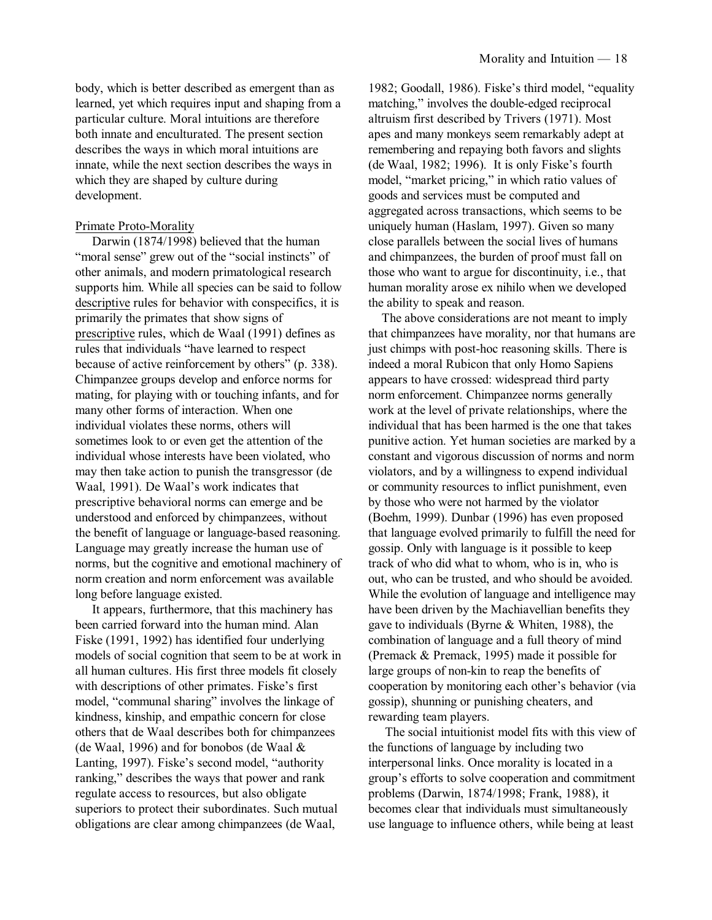body, which is better described as emergent than as learned, yet which requires input and shaping from a particular culture. Moral intuitions are therefore both innate and enculturated. The present section describes the ways in which moral intuitions are innate, while the next section describes the ways in which they are shaped by culture during development.

#### Primate Proto-Morality

 Darwin (1874/1998) believed that the human "moral sense" grew out of the "social instincts" of other animals, and modern primatological research supports him. While all species can be said to follow descriptive rules for behavior with conspecifics, it is primarily the primates that show signs of prescriptive rules, which de Waal (1991) defines as rules that individuals "have learned to respect because of active reinforcement by others" (p. 338). Chimpanzee groups develop and enforce norms for mating, for playing with or touching infants, and for many other forms of interaction. When one individual violates these norms, others will sometimes look to or even get the attention of the individual whose interests have been violated, who may then take action to punish the transgressor (de Waal, 1991). De Waal's work indicates that prescriptive behavioral norms can emerge and be understood and enforced by chimpanzees, without the benefit of language or language-based reasoning. Language may greatly increase the human use of norms, but the cognitive and emotional machinery of norm creation and norm enforcement was available long before language existed.

 It appears, furthermore, that this machinery has been carried forward into the human mind. Alan Fiske (1991, 1992) has identified four underlying models of social cognition that seem to be at work in all human cultures. His first three models fit closely with descriptions of other primates. Fiske's first model, "communal sharing" involves the linkage of kindness, kinship, and empathic concern for close others that de Waal describes both for chimpanzees (de Waal, 1996) and for bonobos (de Waal & Lanting, 1997). Fiske's second model, "authority ranking," describes the ways that power and rank regulate access to resources, but also obligate superiors to protect their subordinates. Such mutual obligations are clear among chimpanzees (de Waal,

1982; Goodall, 1986). Fiske's third model, "equality matching," involves the double-edged reciprocal altruism first described by Trivers (1971). Most apes and many monkeys seem remarkably adept at remembering and repaying both favors and slights (de Waal, 1982; 1996). It is only Fiske's fourth model, "market pricing," in which ratio values of goods and services must be computed and aggregated across transactions, which seems to be uniquely human (Haslam, 1997). Given so many close parallels between the social lives of humans and chimpanzees, the burden of proof must fall on those who want to argue for discontinuity, i.e., that human morality arose ex nihilo when we developed the ability to speak and reason.

 The above considerations are not meant to imply that chimpanzees have morality, nor that humans are just chimps with post-hoc reasoning skills. There is indeed a moral Rubicon that only Homo Sapiens appears to have crossed: widespread third party norm enforcement. Chimpanzee norms generally work at the level of private relationships, where the individual that has been harmed is the one that takes punitive action. Yet human societies are marked by a constant and vigorous discussion of norms and norm violators, and by a willingness to expend individual or community resources to inflict punishment, even by those who were not harmed by the violator (Boehm, 1999). Dunbar (1996) has even proposed that language evolved primarily to fulfill the need for gossip. Only with language is it possible to keep track of who did what to whom, who is in, who is out, who can be trusted, and who should be avoided. While the evolution of language and intelligence may have been driven by the Machiavellian benefits they gave to individuals (Byrne & Whiten, 1988), the combination of language and a full theory of mind (Premack & Premack, 1995) made it possible for large groups of non-kin to reap the benefits of cooperation by monitoring each other's behavior (via gossip), shunning or punishing cheaters, and rewarding team players.

 The social intuitionist model fits with this view of the functions of language by including two interpersonal links. Once morality is located in a group's efforts to solve cooperation and commitment problems (Darwin, 1874/1998; Frank, 1988), it becomes clear that individuals must simultaneously use language to influence others, while being at least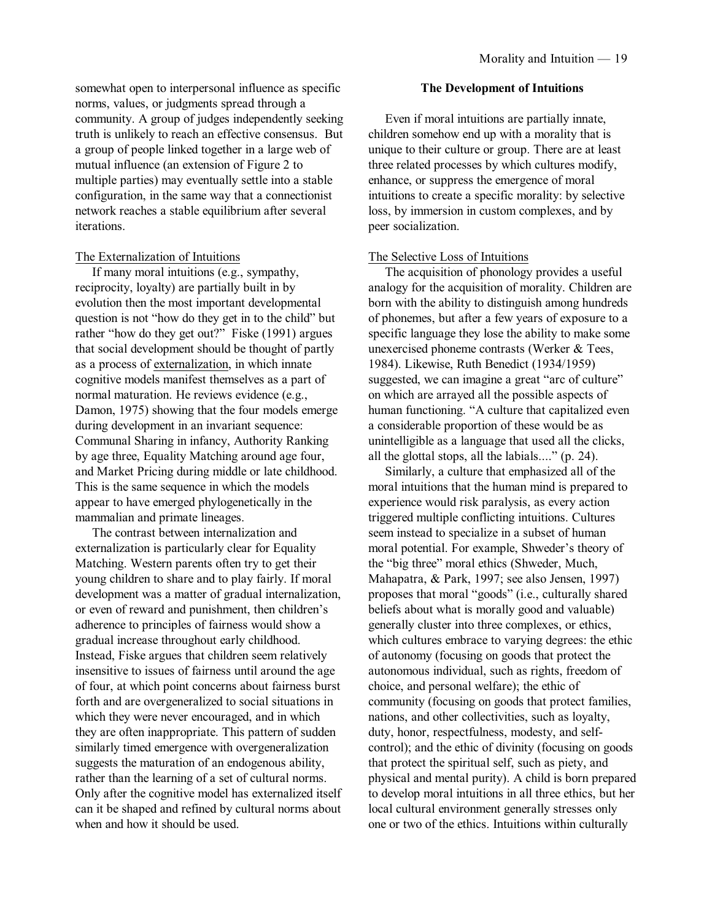somewhat open to interpersonal influence as specific norms, values, or judgments spread through a community. A group of judges independently seeking truth is unlikely to reach an effective consensus. But a group of people linked together in a large web of mutual influence (an extension of Figure 2 to multiple parties) may eventually settle into a stable configuration, in the same way that a connectionist network reaches a stable equilibrium after several iterations.

### The Externalization of Intuitions

 If many moral intuitions (e.g., sympathy, reciprocity, loyalty) are partially built in by evolution then the most important developmental question is not "how do they get in to the child" but rather "how do they get out?" Fiske (1991) argues that social development should be thought of partly as a process of externalization, in which innate cognitive models manifest themselves as a part of normal maturation. He reviews evidence (e.g., Damon, 1975) showing that the four models emerge during development in an invariant sequence: Communal Sharing in infancy, Authority Ranking by age three, Equality Matching around age four, and Market Pricing during middle or late childhood. This is the same sequence in which the models appear to have emerged phylogenetically in the mammalian and primate lineages.

 The contrast between internalization and externalization is particularly clear for Equality Matching. Western parents often try to get their young children to share and to play fairly. If moral development was a matter of gradual internalization, or even of reward and punishment, then children's adherence to principles of fairness would show a gradual increase throughout early childhood. Instead, Fiske argues that children seem relatively insensitive to issues of fairness until around the age of four, at which point concerns about fairness burst forth and are overgeneralized to social situations in which they were never encouraged, and in which they are often inappropriate. This pattern of sudden similarly timed emergence with overgeneralization suggests the maturation of an endogenous ability, rather than the learning of a set of cultural norms. Only after the cognitive model has externalized itself can it be shaped and refined by cultural norms about when and how it should be used.

#### **The Development of Intuitions**

 Even if moral intuitions are partially innate, children somehow end up with a morality that is unique to their culture or group. There are at least three related processes by which cultures modify, enhance, or suppress the emergence of moral intuitions to create a specific morality: by selective loss, by immersion in custom complexes, and by peer socialization.

### The Selective Loss of Intuitions

 The acquisition of phonology provides a useful analogy for the acquisition of morality. Children are born with the ability to distinguish among hundreds of phonemes, but after a few years of exposure to a specific language they lose the ability to make some unexercised phoneme contrasts (Werker & Tees, 1984). Likewise, Ruth Benedict (1934/1959) suggested, we can imagine a great "arc of culture" on which are arrayed all the possible aspects of human functioning. "A culture that capitalized even a considerable proportion of these would be as unintelligible as a language that used all the clicks, all the glottal stops, all the labials...." (p. 24).

 Similarly, a culture that emphasized all of the moral intuitions that the human mind is prepared to experience would risk paralysis, as every action triggered multiple conflicting intuitions. Cultures seem instead to specialize in a subset of human moral potential. For example, Shweder's theory of the "big three" moral ethics (Shweder, Much, Mahapatra, & Park, 1997; see also Jensen, 1997) proposes that moral "goods" (i.e., culturally shared beliefs about what is morally good and valuable) generally cluster into three complexes, or ethics, which cultures embrace to varying degrees: the ethic of autonomy (focusing on goods that protect the autonomous individual, such as rights, freedom of choice, and personal welfare); the ethic of community (focusing on goods that protect families, nations, and other collectivities, such as loyalty, duty, honor, respectfulness, modesty, and selfcontrol); and the ethic of divinity (focusing on goods that protect the spiritual self, such as piety, and physical and mental purity). A child is born prepared to develop moral intuitions in all three ethics, but her local cultural environment generally stresses only one or two of the ethics. Intuitions within culturally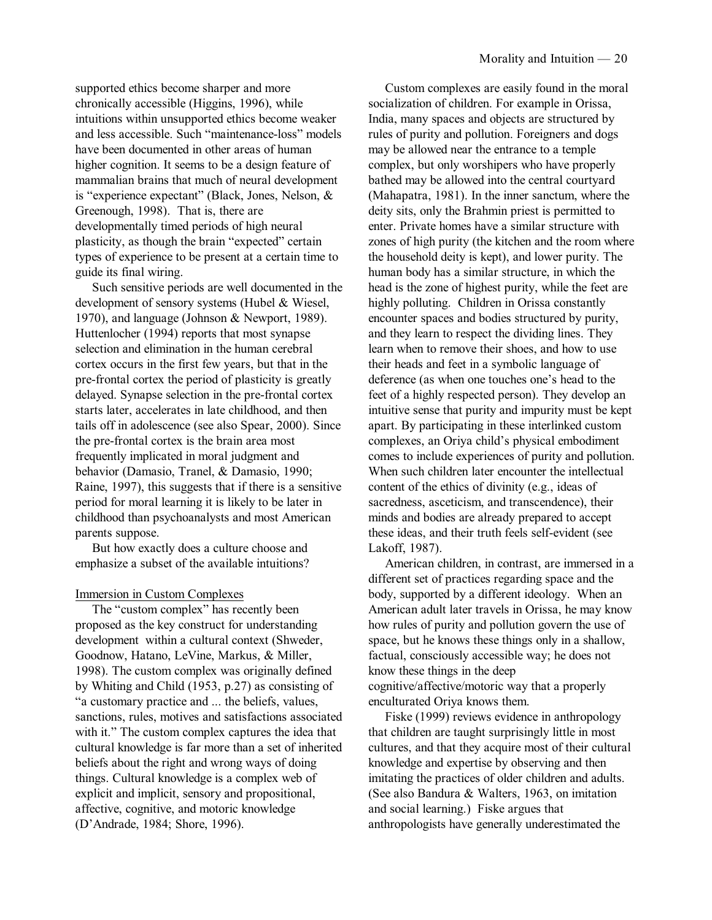supported ethics become sharper and more chronically accessible (Higgins, 1996), while intuitions within unsupported ethics become weaker and less accessible. Such "maintenance-loss" models have been documented in other areas of human higher cognition. It seems to be a design feature of mammalian brains that much of neural development is "experience expectant" (Black, Jones, Nelson, & Greenough, 1998). That is, there are developmentally timed periods of high neural plasticity, as though the brain "expected" certain types of experience to be present at a certain time to guide its final wiring.

 Such sensitive periods are well documented in the development of sensory systems (Hubel & Wiesel, 1970), and language (Johnson & Newport, 1989). Huttenlocher (1994) reports that most synapse selection and elimination in the human cerebral cortex occurs in the first few years, but that in the pre-frontal cortex the period of plasticity is greatly delayed. Synapse selection in the pre-frontal cortex starts later, accelerates in late childhood, and then tails off in adolescence (see also Spear, 2000). Since the pre-frontal cortex is the brain area most frequently implicated in moral judgment and behavior (Damasio, Tranel, & Damasio, 1990; Raine, 1997), this suggests that if there is a sensitive period for moral learning it is likely to be later in childhood than psychoanalysts and most American parents suppose.

 But how exactly does a culture choose and emphasize a subset of the available intuitions?

#### Immersion in Custom Complexes

 The "custom complex" has recently been proposed as the key construct for understanding development within a cultural context (Shweder, Goodnow, Hatano, LeVine, Markus, & Miller, 1998). The custom complex was originally defined by Whiting and Child (1953, p.27) as consisting of "a customary practice and ... the beliefs, values, sanctions, rules, motives and satisfactions associated with it." The custom complex captures the idea that cultural knowledge is far more than a set of inherited beliefs about the right and wrong ways of doing things. Cultural knowledge is a complex web of explicit and implicit, sensory and propositional, affective, cognitive, and motoric knowledge (D'Andrade, 1984; Shore, 1996).

 Custom complexes are easily found in the moral socialization of children. For example in Orissa, India, many spaces and objects are structured by rules of purity and pollution. Foreigners and dogs may be allowed near the entrance to a temple complex, but only worshipers who have properly bathed may be allowed into the central courtyard (Mahapatra, 1981). In the inner sanctum, where the deity sits, only the Brahmin priest is permitted to enter. Private homes have a similar structure with zones of high purity (the kitchen and the room where the household deity is kept), and lower purity. The human body has a similar structure, in which the head is the zone of highest purity, while the feet are highly polluting. Children in Orissa constantly encounter spaces and bodies structured by purity, and they learn to respect the dividing lines. They learn when to remove their shoes, and how to use their heads and feet in a symbolic language of deference (as when one touches one's head to the feet of a highly respected person). They develop an intuitive sense that purity and impurity must be kept apart. By participating in these interlinked custom complexes, an Oriya child's physical embodiment comes to include experiences of purity and pollution. When such children later encounter the intellectual content of the ethics of divinity (e.g., ideas of sacredness, asceticism, and transcendence), their minds and bodies are already prepared to accept these ideas, and their truth feels self-evident (see Lakoff, 1987).

 American children, in contrast, are immersed in a different set of practices regarding space and the body, supported by a different ideology. When an American adult later travels in Orissa, he may know how rules of purity and pollution govern the use of space, but he knows these things only in a shallow, factual, consciously accessible way; he does not know these things in the deep cognitive/affective/motoric way that a properly enculturated Oriya knows them.

 Fiske (1999) reviews evidence in anthropology that children are taught surprisingly little in most cultures, and that they acquire most of their cultural knowledge and expertise by observing and then imitating the practices of older children and adults. (See also Bandura & Walters, 1963, on imitation and social learning.) Fiske argues that anthropologists have generally underestimated the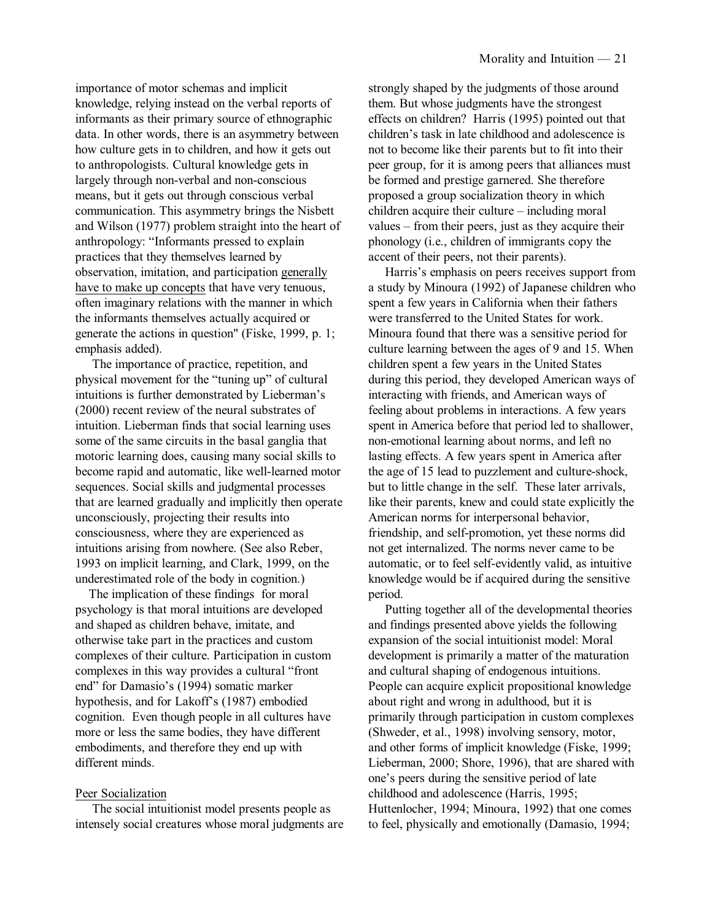importance of motor schemas and implicit knowledge, relying instead on the verbal reports of informants as their primary source of ethnographic data. In other words, there is an asymmetry between how culture gets in to children, and how it gets out to anthropologists. Cultural knowledge gets in largely through non-verbal and non-conscious means, but it gets out through conscious verbal communication. This asymmetry brings the Nisbett and Wilson (1977) problem straight into the heart of anthropology: "Informants pressed to explain practices that they themselves learned by observation, imitation, and participation generally have to make up concepts that have very tenuous, often imaginary relations with the manner in which the informants themselves actually acquired or generate the actions in question" (Fiske, 1999, p. 1; emphasis added).

 The importance of practice, repetition, and physical movement for the "tuning up" of cultural intuitions is further demonstrated by Lieberman's (2000) recent review of the neural substrates of intuition. Lieberman finds that social learning uses some of the same circuits in the basal ganglia that motoric learning does, causing many social skills to become rapid and automatic, like well-learned motor sequences. Social skills and judgmental processes that are learned gradually and implicitly then operate unconsciously, projecting their results into consciousness, where they are experienced as intuitions arising from nowhere. (See also Reber, 1993 on implicit learning, and Clark, 1999, on the underestimated role of the body in cognition.)

 The implication of these findings for moral psychology is that moral intuitions are developed and shaped as children behave, imitate, and otherwise take part in the practices and custom complexes of their culture. Participation in custom complexes in this way provides a cultural "front end" for Damasio's (1994) somatic marker hypothesis, and for Lakoff's (1987) embodied cognition. Even though people in all cultures have more or less the same bodies, they have different embodiments, and therefore they end up with different minds.

### Peer Socialization

 The social intuitionist model presents people as intensely social creatures whose moral judgments are strongly shaped by the judgments of those around them. But whose judgments have the strongest effects on children? Harris (1995) pointed out that children's task in late childhood and adolescence is not to become like their parents but to fit into their peer group, for it is among peers that alliances must be formed and prestige garnered. She therefore proposed a group socialization theory in which children acquire their culture – including moral values – from their peers, just as they acquire their phonology (i.e., children of immigrants copy the accent of their peers, not their parents).

 Harris's emphasis on peers receives support from a study by Minoura (1992) of Japanese children who spent a few years in California when their fathers were transferred to the United States for work. Minoura found that there was a sensitive period for culture learning between the ages of 9 and 15. When children spent a few years in the United States during this period, they developed American ways of interacting with friends, and American ways of feeling about problems in interactions. A few years spent in America before that period led to shallower, non-emotional learning about norms, and left no lasting effects. A few years spent in America after the age of 15 lead to puzzlement and culture-shock, but to little change in the self. These later arrivals, like their parents, knew and could state explicitly the American norms for interpersonal behavior, friendship, and self-promotion, yet these norms did not get internalized. The norms never came to be automatic, or to feel self-evidently valid, as intuitive knowledge would be if acquired during the sensitive period.

 Putting together all of the developmental theories and findings presented above yields the following expansion of the social intuitionist model: Moral development is primarily a matter of the maturation and cultural shaping of endogenous intuitions. People can acquire explicit propositional knowledge about right and wrong in adulthood, but it is primarily through participation in custom complexes (Shweder, et al., 1998) involving sensory, motor, and other forms of implicit knowledge (Fiske, 1999; Lieberman, 2000; Shore, 1996), that are shared with one's peers during the sensitive period of late childhood and adolescence (Harris, 1995; Huttenlocher, 1994; Minoura, 1992) that one comes to feel, physically and emotionally (Damasio, 1994;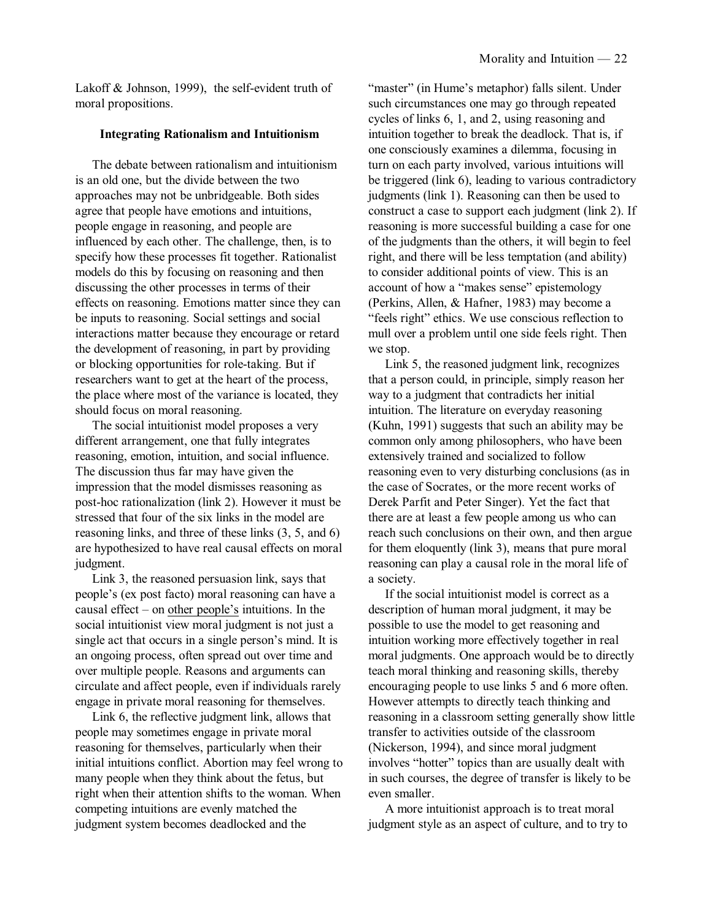#### **Integrating Rationalism and Intuitionism**

 The debate between rationalism and intuitionism is an old one, but the divide between the two approaches may not be unbridgeable. Both sides agree that people have emotions and intuitions, people engage in reasoning, and people are influenced by each other. The challenge, then, is to specify how these processes fit together. Rationalist models do this by focusing on reasoning and then discussing the other processes in terms of their effects on reasoning. Emotions matter since they can be inputs to reasoning. Social settings and social interactions matter because they encourage or retard the development of reasoning, in part by providing or blocking opportunities for role-taking. But if researchers want to get at the heart of the process, the place where most of the variance is located, they should focus on moral reasoning.

 The social intuitionist model proposes a very different arrangement, one that fully integrates reasoning, emotion, intuition, and social influence. The discussion thus far may have given the impression that the model dismisses reasoning as post-hoc rationalization (link 2). However it must be stressed that four of the six links in the model are reasoning links, and three of these links (3, 5, and 6) are hypothesized to have real causal effects on moral judgment.

 Link 3, the reasoned persuasion link, says that people's (ex post facto) moral reasoning can have a causal effect – on other people's intuitions. In the social intuitionist view moral judgment is not just a single act that occurs in a single person's mind. It is an ongoing process, often spread out over time and over multiple people. Reasons and arguments can circulate and affect people, even if individuals rarely engage in private moral reasoning for themselves.

 Link 6, the reflective judgment link, allows that people may sometimes engage in private moral reasoning for themselves, particularly when their initial intuitions conflict. Abortion may feel wrong to many people when they think about the fetus, but right when their attention shifts to the woman. When competing intuitions are evenly matched the judgment system becomes deadlocked and the

"master" (in Hume's metaphor) falls silent. Under such circumstances one may go through repeated cycles of links 6, 1, and 2, using reasoning and intuition together to break the deadlock. That is, if one consciously examines a dilemma, focusing in turn on each party involved, various intuitions will be triggered (link 6), leading to various contradictory judgments (link 1). Reasoning can then be used to construct a case to support each judgment (link 2). If reasoning is more successful building a case for one of the judgments than the others, it will begin to feel right, and there will be less temptation (and ability) to consider additional points of view. This is an account of how a "makes sense" epistemology (Perkins, Allen, & Hafner, 1983) may become a "feels right" ethics. We use conscious reflection to mull over a problem until one side feels right. Then we stop.

 Link 5, the reasoned judgment link, recognizes that a person could, in principle, simply reason her way to a judgment that contradicts her initial intuition. The literature on everyday reasoning (Kuhn, 1991) suggests that such an ability may be common only among philosophers, who have been extensively trained and socialized to follow reasoning even to very disturbing conclusions (as in the case of Socrates, or the more recent works of Derek Parfit and Peter Singer). Yet the fact that there are at least a few people among us who can reach such conclusions on their own, and then argue for them eloquently (link 3), means that pure moral reasoning can play a causal role in the moral life of a society.

 If the social intuitionist model is correct as a description of human moral judgment, it may be possible to use the model to get reasoning and intuition working more effectively together in real moral judgments. One approach would be to directly teach moral thinking and reasoning skills, thereby encouraging people to use links 5 and 6 more often. However attempts to directly teach thinking and reasoning in a classroom setting generally show little transfer to activities outside of the classroom (Nickerson, 1994), and since moral judgment involves "hotter" topics than are usually dealt with in such courses, the degree of transfer is likely to be even smaller.

 A more intuitionist approach is to treat moral judgment style as an aspect of culture, and to try to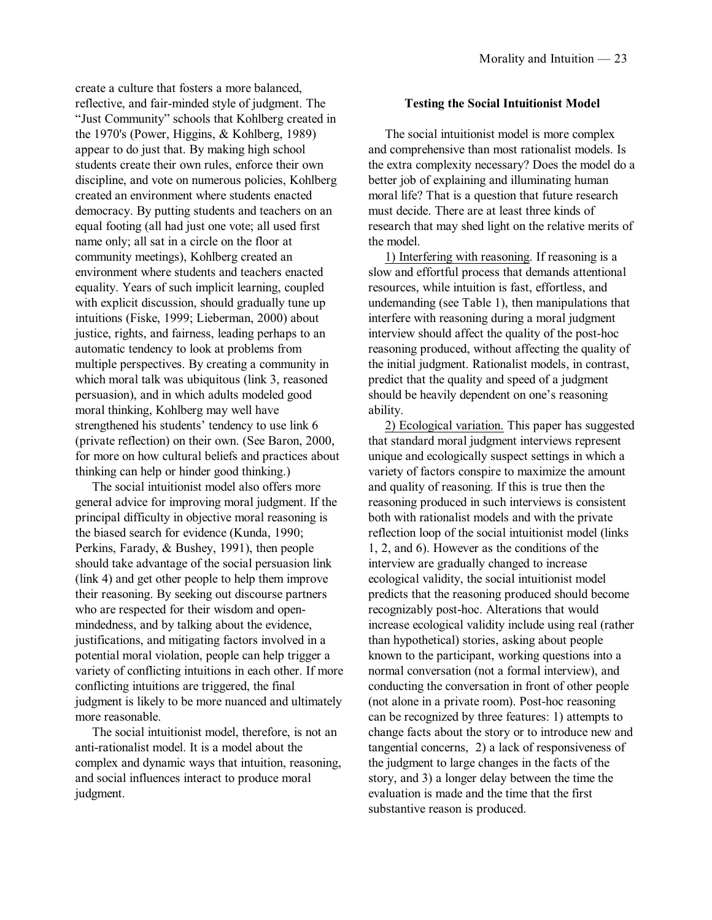create a culture that fosters a more balanced, reflective, and fair-minded style of judgment. The "Just Community" schools that Kohlberg created in the 1970's (Power, Higgins, & Kohlberg, 1989) appear to do just that. By making high school students create their own rules, enforce their own discipline, and vote on numerous policies, Kohlberg created an environment where students enacted democracy. By putting students and teachers on an equal footing (all had just one vote; all used first name only; all sat in a circle on the floor at community meetings), Kohlberg created an environment where students and teachers enacted equality. Years of such implicit learning, coupled with explicit discussion, should gradually tune up intuitions (Fiske, 1999; Lieberman, 2000) about justice, rights, and fairness, leading perhaps to an automatic tendency to look at problems from multiple perspectives. By creating a community in which moral talk was ubiquitous (link 3, reasoned persuasion), and in which adults modeled good moral thinking, Kohlberg may well have strengthened his students' tendency to use link 6 (private reflection) on their own. (See Baron, 2000, for more on how cultural beliefs and practices about thinking can help or hinder good thinking.)

 The social intuitionist model also offers more general advice for improving moral judgment. If the principal difficulty in objective moral reasoning is the biased search for evidence (Kunda, 1990; Perkins, Farady, & Bushey, 1991), then people should take advantage of the social persuasion link (link 4) and get other people to help them improve their reasoning. By seeking out discourse partners who are respected for their wisdom and openmindedness, and by talking about the evidence, justifications, and mitigating factors involved in a potential moral violation, people can help trigger a variety of conflicting intuitions in each other. If more conflicting intuitions are triggered, the final judgment is likely to be more nuanced and ultimately more reasonable.

 The social intuitionist model, therefore, is not an anti-rationalist model. It is a model about the complex and dynamic ways that intuition, reasoning, and social influences interact to produce moral judgment.

#### **Testing the Social Intuitionist Model**

 The social intuitionist model is more complex and comprehensive than most rationalist models. Is the extra complexity necessary? Does the model do a better job of explaining and illuminating human moral life? That is a question that future research must decide. There are at least three kinds of research that may shed light on the relative merits of the model.

 1) Interfering with reasoning. If reasoning is a slow and effortful process that demands attentional resources, while intuition is fast, effortless, and undemanding (see Table 1), then manipulations that interfere with reasoning during a moral judgment interview should affect the quality of the post-hoc reasoning produced, without affecting the quality of the initial judgment. Rationalist models, in contrast, predict that the quality and speed of a judgment should be heavily dependent on one's reasoning ability.

 2) Ecological variation. This paper has suggested that standard moral judgment interviews represent unique and ecologically suspect settings in which a variety of factors conspire to maximize the amount and quality of reasoning. If this is true then the reasoning produced in such interviews is consistent both with rationalist models and with the private reflection loop of the social intuitionist model (links 1, 2, and 6). However as the conditions of the interview are gradually changed to increase ecological validity, the social intuitionist model predicts that the reasoning produced should become recognizably post-hoc. Alterations that would increase ecological validity include using real (rather than hypothetical) stories, asking about people known to the participant, working questions into a normal conversation (not a formal interview), and conducting the conversation in front of other people (not alone in a private room). Post-hoc reasoning can be recognized by three features: 1) attempts to change facts about the story or to introduce new and tangential concerns, 2) a lack of responsiveness of the judgment to large changes in the facts of the story, and 3) a longer delay between the time the evaluation is made and the time that the first substantive reason is produced.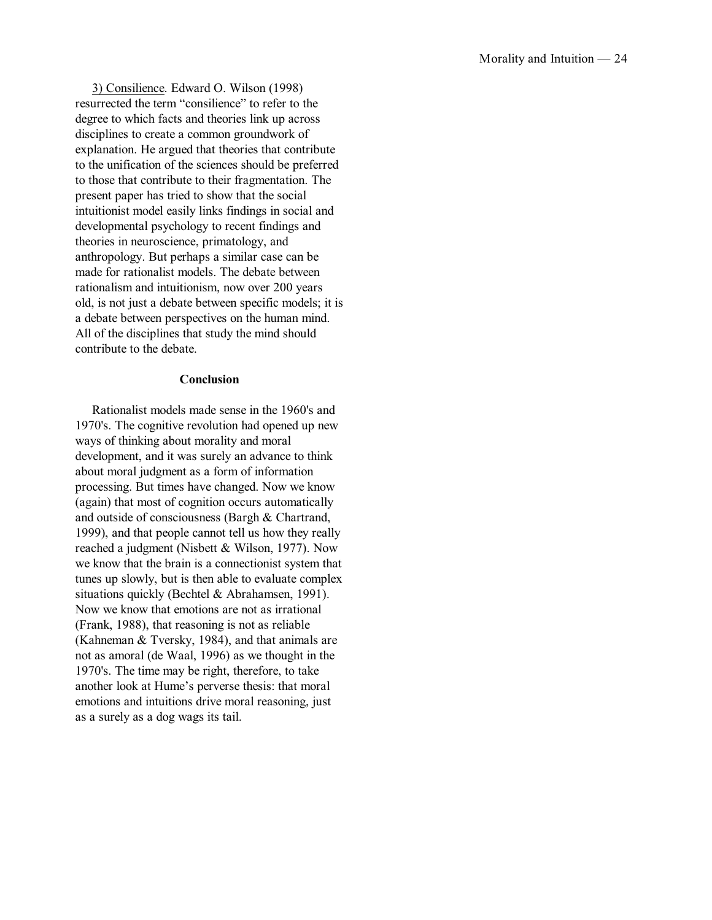3) Consilience. Edward O. Wilson (1998) resurrected the term "consilience" to refer to the degree to which facts and theories link up across disciplines to create a common groundwork of explanation. He argued that theories that contribute to the unification of the sciences should be preferred to those that contribute to their fragmentation. The present paper has tried to show that the social intuitionist model easily links findings in social and developmental psychology to recent findings and theories in neuroscience, primatology, and anthropology. But perhaps a similar case can be made for rationalist models. The debate between rationalism and intuitionism, now over 200 years old, is not just a debate between specific models; it is a debate between perspectives on the human mind. All of the disciplines that study the mind should contribute to the debate.

### **Conclusion**

 Rationalist models made sense in the 1960's and 1970's. The cognitive revolution had opened up new ways of thinking about morality and moral development, and it was surely an advance to think about moral judgment as a form of information processing. But times have changed. Now we know (again) that most of cognition occurs automatically and outside of consciousness (Bargh & Chartrand, 1999), and that people cannot tell us how they really reached a judgment (Nisbett & Wilson, 1977). Now we know that the brain is a connectionist system that tunes up slowly, but is then able to evaluate complex situations quickly (Bechtel & Abrahamsen, 1991). Now we know that emotions are not as irrational (Frank, 1988), that reasoning is not as reliable (Kahneman & Tversky, 1984), and that animals are not as amoral (de Waal, 1996) as we thought in the 1970's. The time may be right, therefore, to take another look at Hume's perverse thesis: that moral emotions and intuitions drive moral reasoning, just as a surely as a dog wags its tail.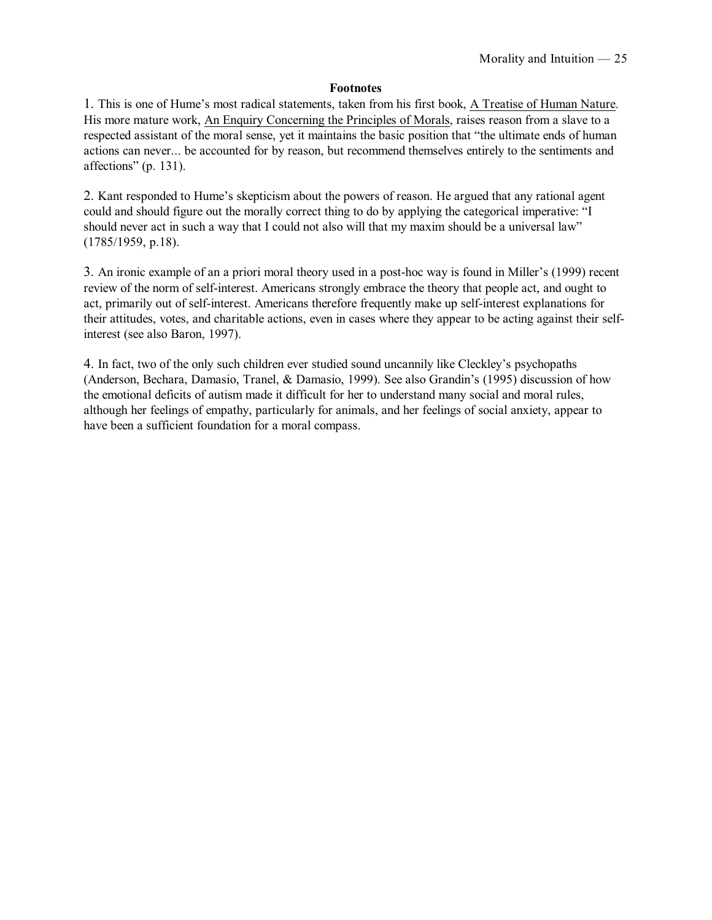### **Footnotes**

1. This is one of Hume's most radical statements, taken from his first book, A Treatise of Human Nature. His more mature work, An Enquiry Concerning the Principles of Morals, raises reason from a slave to a respected assistant of the moral sense, yet it maintains the basic position that "the ultimate ends of human actions can never... be accounted for by reason, but recommend themselves entirely to the sentiments and affections" (p. 131).

2. Kant responded to Hume's skepticism about the powers of reason. He argued that any rational agent could and should figure out the morally correct thing to do by applying the categorical imperative: "I should never act in such a way that I could not also will that my maxim should be a universal law" (1785/1959, p.18).

3. An ironic example of an a priori moral theory used in a post-hoc way is found in Miller's (1999) recent review of the norm of self-interest. Americans strongly embrace the theory that people act, and ought to act, primarily out of self-interest. Americans therefore frequently make up self-interest explanations for their attitudes, votes, and charitable actions, even in cases where they appear to be acting against their selfinterest (see also Baron, 1997).

4. In fact, two of the only such children ever studied sound uncannily like Cleckley's psychopaths (Anderson, Bechara, Damasio, Tranel, & Damasio, 1999). See also Grandin's (1995) discussion of how the emotional deficits of autism made it difficult for her to understand many social and moral rules, although her feelings of empathy, particularly for animals, and her feelings of social anxiety, appear to have been a sufficient foundation for a moral compass.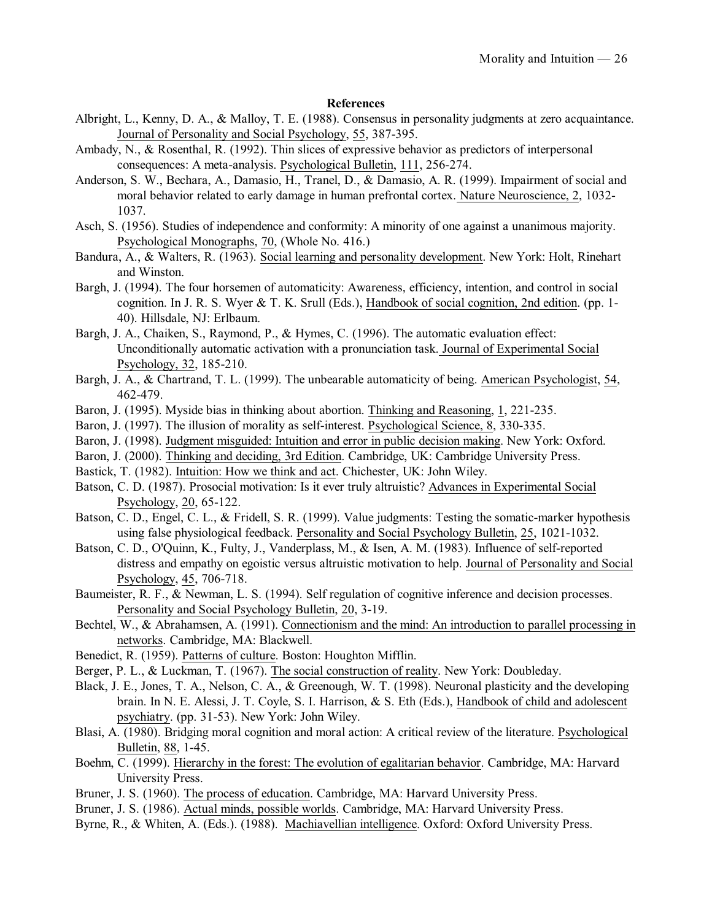### **References**

- Albright, L., Kenny, D. A., & Malloy, T. E. (1988). Consensus in personality judgments at zero acquaintance. Journal of Personality and Social Psychology, 55, 387-395.
- Ambady, N., & Rosenthal, R. (1992). Thin slices of expressive behavior as predictors of interpersonal consequences: A meta-analysis. Psychological Bulletin, 111, 256-274.
- Anderson, S. W., Bechara, A., Damasio, H., Tranel, D., & Damasio, A. R. (1999). Impairment of social and moral behavior related to early damage in human prefrontal cortex. Nature Neuroscience, 2, 1032- 1037.
- Asch, S. (1956). Studies of independence and conformity: A minority of one against a unanimous majority. Psychological Monographs, 70, (Whole No. 416.)
- Bandura, A., & Walters, R. (1963). Social learning and personality development. New York: Holt, Rinehart and Winston.
- Bargh, J. (1994). The four horsemen of automaticity: Awareness, efficiency, intention, and control in social cognition. In J. R. S. Wyer & T. K. Srull (Eds.), Handbook of social cognition, 2nd edition. (pp. 1- 40). Hillsdale, NJ: Erlbaum.
- Bargh, J. A., Chaiken, S., Raymond, P., & Hymes, C. (1996). The automatic evaluation effect: Unconditionally automatic activation with a pronunciation task. Journal of Experimental Social Psychology, 32, 185-210.
- Bargh, J. A., & Chartrand, T. L. (1999). The unbearable automaticity of being. American Psychologist, 54, 462-479.
- Baron, J. (1995). Myside bias in thinking about abortion. Thinking and Reasoning, 1, 221-235.
- Baron, J. (1997). The illusion of morality as self-interest. Psychological Science, 8, 330-335.
- Baron, J. (1998). Judgment misguided: Intuition and error in public decision making. New York: Oxford.
- Baron, J. (2000). Thinking and deciding, 3rd Edition. Cambridge, UK: Cambridge University Press.
- Bastick, T. (1982). Intuition: How we think and act. Chichester, UK: John Wiley.
- Batson, C. D. (1987). Prosocial motivation: Is it ever truly altruistic? Advances in Experimental Social Psychology, 20, 65-122.
- Batson, C. D., Engel, C. L., & Fridell, S. R. (1999). Value judgments: Testing the somatic-marker hypothesis using false physiological feedback. Personality and Social Psychology Bulletin, 25, 1021-1032.
- Batson, C. D., O'Quinn, K., Fulty, J., Vanderplass, M., & Isen, A. M. (1983). Influence of self-reported distress and empathy on egoistic versus altruistic motivation to help. Journal of Personality and Social Psychology, 45, 706-718.
- Baumeister, R. F., & Newman, L. S. (1994). Self regulation of cognitive inference and decision processes. Personality and Social Psychology Bulletin, 20, 3-19.
- Bechtel, W., & Abrahamsen, A. (1991). Connectionism and the mind: An introduction to parallel processing in networks. Cambridge, MA: Blackwell.
- Benedict, R. (1959). Patterns of culture. Boston: Houghton Mifflin.
- Berger, P. L., & Luckman, T. (1967). The social construction of reality. New York: Doubleday.
- Black, J. E., Jones, T. A., Nelson, C. A., & Greenough, W. T. (1998). Neuronal plasticity and the developing brain. In N. E. Alessi, J. T. Coyle, S. I. Harrison, & S. Eth (Eds.), Handbook of child and adolescent psychiatry. (pp. 31-53). New York: John Wiley.
- Blasi, A. (1980). Bridging moral cognition and moral action: A critical review of the literature. Psychological Bulletin, 88, 1-45.
- Boehm, C. (1999). Hierarchy in the forest: The evolution of egalitarian behavior. Cambridge, MA: Harvard University Press.
- Bruner, J. S. (1960). The process of education. Cambridge, MA: Harvard University Press.
- Bruner, J. S. (1986). Actual minds, possible worlds. Cambridge, MA: Harvard University Press.
- Byrne, R., & Whiten, A. (Eds.). (1988). Machiavellian intelligence. Oxford: Oxford University Press.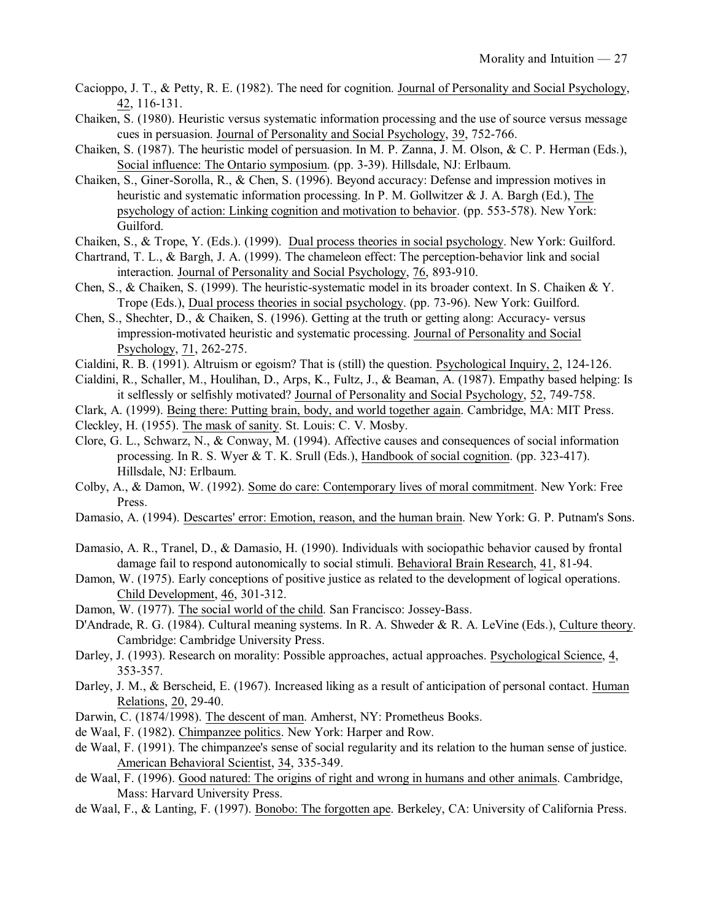- Cacioppo, J. T., & Petty, R. E. (1982). The need for cognition. Journal of Personality and Social Psychology, 42, 116-131.
- Chaiken, S. (1980). Heuristic versus systematic information processing and the use of source versus message cues in persuasion. Journal of Personality and Social Psychology, 39, 752-766.
- Chaiken, S. (1987). The heuristic model of persuasion. In M. P. Zanna, J. M. Olson, & C. P. Herman (Eds.), Social influence: The Ontario symposium. (pp. 3-39). Hillsdale, NJ: Erlbaum.
- Chaiken, S., Giner-Sorolla, R., & Chen, S. (1996). Beyond accuracy: Defense and impression motives in heuristic and systematic information processing. In P. M. Gollwitzer & J. A. Bargh (Ed.), The psychology of action: Linking cognition and motivation to behavior. (pp. 553-578). New York: Guilford.
- Chaiken, S., & Trope, Y. (Eds.). (1999). Dual process theories in social psychology. New York: Guilford.
- Chartrand, T. L., & Bargh, J. A. (1999). The chameleon effect: The perception-behavior link and social interaction. Journal of Personality and Social Psychology, 76, 893-910.
- Chen, S., & Chaiken, S. (1999). The heuristic-systematic model in its broader context. In S. Chaiken & Y. Trope (Eds.), Dual process theories in social psychology. (pp. 73-96). New York: Guilford.
- Chen, S., Shechter, D., & Chaiken, S. (1996). Getting at the truth or getting along: Accuracy- versus impression-motivated heuristic and systematic processing. Journal of Personality and Social Psychology, 71, 262-275.
- Cialdini, R. B. (1991). Altruism or egoism? That is (still) the question. Psychological Inquiry, 2, 124-126.
- Cialdini, R., Schaller, M., Houlihan, D., Arps, K., Fultz, J., & Beaman, A. (1987). Empathy based helping: Is it selflessly or selfishly motivated? Journal of Personality and Social Psychology, 52, 749-758.
- Clark, A. (1999). Being there: Putting brain, body, and world together again. Cambridge, MA: MIT Press.
- Cleckley, H. (1955). The mask of sanity. St. Louis: C. V. Mosby.
- Clore, G. L., Schwarz, N., & Conway, M. (1994). Affective causes and consequences of social information processing. In R. S. Wyer & T. K. Srull (Eds.), Handbook of social cognition. (pp. 323-417). Hillsdale, NJ: Erlbaum.
- Colby, A., & Damon, W. (1992). Some do care: Contemporary lives of moral commitment. New York: Free Press.
- Damasio, A. (1994). Descartes' error: Emotion, reason, and the human brain. New York: G. P. Putnam's Sons.
- Damasio, A. R., Tranel, D., & Damasio, H. (1990). Individuals with sociopathic behavior caused by frontal damage fail to respond autonomically to social stimuli. Behavioral Brain Research, 41, 81-94.
- Damon, W. (1975). Early conceptions of positive justice as related to the development of logical operations. Child Development, 46, 301-312.
- Damon, W. (1977). The social world of the child. San Francisco: Jossey-Bass.
- D'Andrade, R. G. (1984). Cultural meaning systems. In R. A. Shweder & R. A. LeVine (Eds.), Culture theory. Cambridge: Cambridge University Press.
- Darley, J. (1993). Research on morality: Possible approaches, actual approaches. Psychological Science, 4, 353-357.
- Darley, J. M., & Berscheid, E. (1967). Increased liking as a result of anticipation of personal contact. Human Relations, 20, 29-40.
- Darwin, C. (1874/1998). The descent of man. Amherst, NY: Prometheus Books.
- de Waal, F. (1982). Chimpanzee politics. New York: Harper and Row.
- de Waal, F. (1991). The chimpanzee's sense of social regularity and its relation to the human sense of justice. American Behavioral Scientist, 34, 335-349.
- de Waal, F. (1996). Good natured: The origins of right and wrong in humans and other animals. Cambridge, Mass: Harvard University Press.
- de Waal, F., & Lanting, F. (1997). Bonobo: The forgotten ape. Berkeley, CA: University of California Press.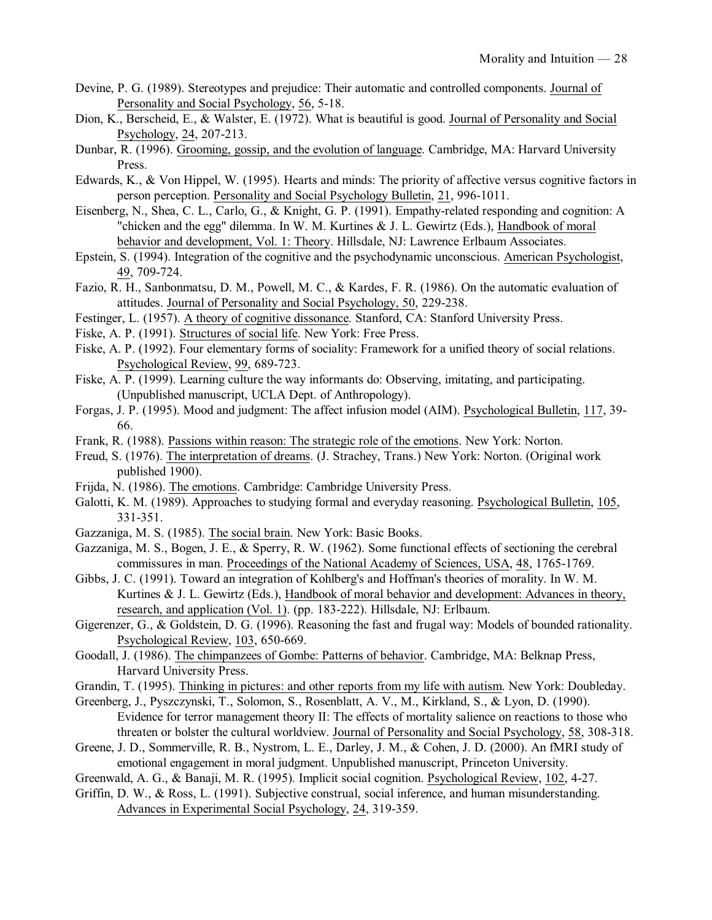- Devine, P. G. (1989). Stereotypes and prejudice: Their automatic and controlled components. Journal of Personality and Social Psychology, 56, 5-18.
- Dion, K., Berscheid, E., & Walster, E. (1972). What is beautiful is good. Journal of Personality and Social Psychology, 24, 207-213.
- Dunbar, R. (1996). Grooming, gossip, and the evolution of language. Cambridge, MA: Harvard University Press.
- Edwards, K., & Von Hippel, W. (1995). Hearts and minds: The priority of affective versus cognitive factors in person perception. Personality and Social Psychology Bulletin, 21, 996-1011.
- Eisenberg, N., Shea, C. L., Carlo, G., & Knight, G. P. (1991). Empathy-related responding and cognition: A "chicken and the egg" dilemma. In W. M. Kurtines & J. L. Gewirtz (Eds.), Handbook of moral behavior and development, Vol. 1: Theory. Hillsdale, NJ: Lawrence Erlbaum Associates.
- Epstein, S. (1994). Integration of the cognitive and the psychodynamic unconscious. American Psychologist, 49, 709-724.
- Fazio, R. H., Sanbonmatsu, D. M., Powell, M. C., & Kardes, F. R. (1986). On the automatic evaluation of attitudes. Journal of Personality and Social Psychology, 50, 229-238.
- Festinger, L. (1957). A theory of cognitive dissonance. Stanford, CA: Stanford University Press.
- Fiske, A. P. (1991). Structures of social life. New York: Free Press.
- Fiske, A. P. (1992). Four elementary forms of sociality: Framework for a unified theory of social relations. Psychological Review, 99, 689-723.
- Fiske, A. P. (1999). Learning culture the way informants do: Observing, imitating, and participating. (Unpublished manuscript, UCLA Dept. of Anthropology).
- Forgas, J. P. (1995). Mood and judgment: The affect infusion model (AIM). Psychological Bulletin, 117, 39- 66.
- Frank, R. (1988). Passions within reason: The strategic role of the emotions. New York: Norton.
- Freud, S. (1976). The interpretation of dreams. (J. Strachey, Trans.) New York: Norton. (Original work published 1900).
- Frijda, N. (1986). The emotions. Cambridge: Cambridge University Press.
- Galotti, K. M. (1989). Approaches to studying formal and everyday reasoning. Psychological Bulletin, 105, 331-351.
- Gazzaniga, M. S. (1985). The social brain. New York: Basic Books.
- Gazzaniga, M. S., Bogen, J. E., & Sperry, R. W. (1962). Some functional effects of sectioning the cerebral commissures in man. Proceedings of the National Academy of Sciences, USA, 48, 1765-1769.
- Gibbs, J. C. (1991). Toward an integration of Kohlberg's and Hoffman's theories of morality. In W. M. Kurtines & J. L. Gewirtz (Eds.), Handbook of moral behavior and development: Advances in theory, research, and application (Vol. 1). (pp. 183-222). Hillsdale, NJ: Erlbaum.
- Gigerenzer, G., & Goldstein, D. G. (1996). Reasoning the fast and frugal way: Models of bounded rationality. Psychological Review, 103, 650-669.
- Goodall, J. (1986). The chimpanzees of Gombe: Patterns of behavior. Cambridge, MA: Belknap Press, Harvard University Press.
- Grandin, T. (1995). Thinking in pictures: and other reports from my life with autism. New York: Doubleday.
- Greenberg, J., Pyszczynski, T., Solomon, S., Rosenblatt, A. V., M., Kirkland, S., & Lyon, D. (1990). Evidence for terror management theory II: The effects of mortality salience on reactions to those who threaten or bolster the cultural worldview. Journal of Personality and Social Psychology, 58, 308-318.
- Greene, J. D., Sommerville, R. B., Nystrom, L. E., Darley, J. M., & Cohen, J. D. (2000). An fMRI study of emotional engagement in moral judgment. Unpublished manuscript, Princeton University.
- Greenwald, A. G., & Banaji, M. R. (1995). Implicit social cognition. Psychological Review, 102, 4-27.
- Griffin, D. W., & Ross, L. (1991). Subjective construal, social inference, and human misunderstanding. Advances in Experimental Social Psychology, 24, 319-359.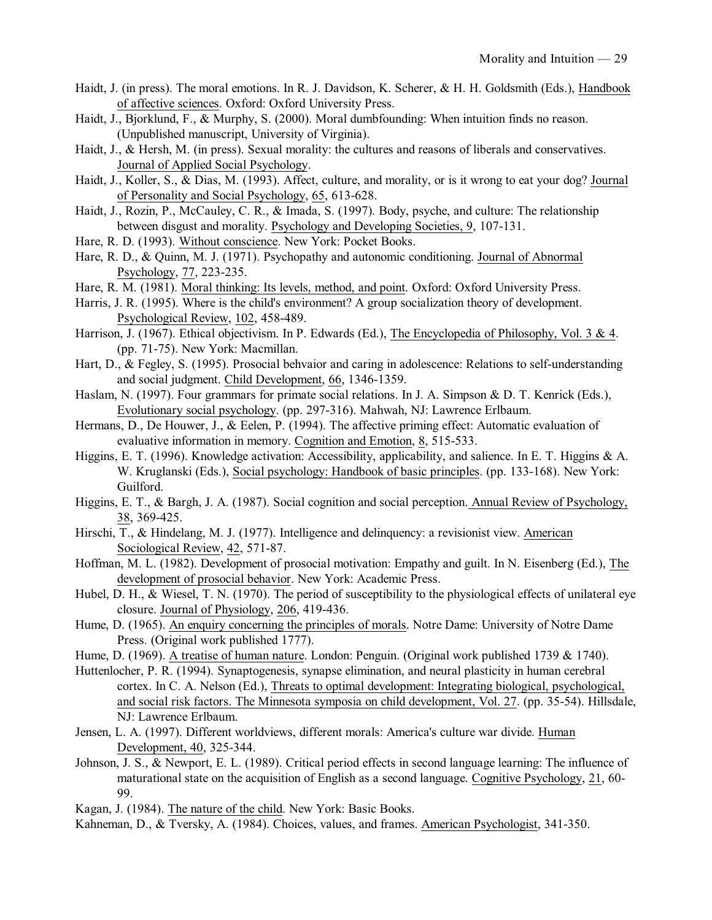- Haidt, J. (in press). The moral emotions. In R. J. Davidson, K. Scherer, & H. H. Goldsmith (Eds.), Handbook of affective sciences. Oxford: Oxford University Press.
- Haidt, J., Bjorklund, F., & Murphy, S. (2000). Moral dumbfounding: When intuition finds no reason. (Unpublished manuscript, University of Virginia).
- Haidt, J., & Hersh, M. (in press). Sexual morality: the cultures and reasons of liberals and conservatives. Journal of Applied Social Psychology.
- Haidt, J., Koller, S., & Dias, M. (1993). Affect, culture, and morality, or is it wrong to eat your dog? Journal of Personality and Social Psychology, 65, 613-628.
- Haidt, J., Rozin, P., McCauley, C. R., & Imada, S. (1997). Body, psyche, and culture: The relationship between disgust and morality. Psychology and Developing Societies, 9, 107-131.
- Hare, R. D. (1993). Without conscience. New York: Pocket Books.
- Hare, R. D., & Quinn, M. J. (1971). Psychopathy and autonomic conditioning. Journal of Abnormal Psychology, 77, 223-235.
- Hare, R. M. (1981). Moral thinking: Its levels, method, and point. Oxford: Oxford University Press.
- Harris, J. R. (1995). Where is the child's environment? A group socialization theory of development. Psychological Review, 102, 458-489.
- Harrison, J. (1967). Ethical objectivism. In P. Edwards (Ed.), The Encyclopedia of Philosophy, Vol. 3 & 4. (pp. 71-75). New York: Macmillan.
- Hart, D., & Fegley, S. (1995). Prosocial behvaior and caring in adolescence: Relations to self-understanding and social judgment. Child Development, 66, 1346-1359.
- Haslam, N. (1997). Four grammars for primate social relations. In J. A. Simpson & D. T. Kenrick (Eds.), Evolutionary social psychology. (pp. 297-316). Mahwah, NJ: Lawrence Erlbaum.
- Hermans, D., De Houwer, J., & Eelen, P. (1994). The affective priming effect: Automatic evaluation of evaluative information in memory. Cognition and Emotion, 8, 515-533.
- Higgins, E. T. (1996). Knowledge activation: Accessibility, applicability, and salience. In E. T. Higgins & A. W. Kruglanski (Eds.), Social psychology: Handbook of basic principles. (pp. 133-168). New York: Guilford.
- Higgins, E. T., & Bargh, J. A. (1987). Social cognition and social perception. Annual Review of Psychology, 38, 369-425.
- Hirschi, T., & Hindelang, M. J. (1977). Intelligence and delinquency: a revisionist view. American Sociological Review, 42, 571-87.
- Hoffman, M. L. (1982). Development of prosocial motivation: Empathy and guilt. In N. Eisenberg (Ed.), The development of prosocial behavior. New York: Academic Press.
- Hubel, D. H., & Wiesel, T. N. (1970). The period of susceptibility to the physiological effects of unilateral eye closure. Journal of Physiology, 206, 419-436.
- Hume, D. (1965). An enquiry concerning the principles of morals. Notre Dame: University of Notre Dame Press. (Original work published 1777).
- Hume, D. (1969). A treatise of human nature. London: Penguin. (Original work published 1739 & 1740).
- Huttenlocher, P. R. (1994). Synaptogenesis, synapse elimination, and neural plasticity in human cerebral cortex. In C. A. Nelson (Ed.), Threats to optimal development: Integrating biological, psychological, and social risk factors. The Minnesota symposia on child development, Vol. 27. (pp. 35-54). Hillsdale, NJ: Lawrence Erlbaum.
- Jensen, L. A. (1997). Different worldviews, different morals: America's culture war divide. Human Development, 40, 325-344.
- Johnson, J. S., & Newport, E. L. (1989). Critical period effects in second language learning: The influence of maturational state on the acquisition of English as a second language. Cognitive Psychology, 21, 60- 99.
- Kagan, J. (1984). The nature of the child. New York: Basic Books.
- Kahneman, D., & Tversky, A. (1984). Choices, values, and frames. American Psychologist, 341-350.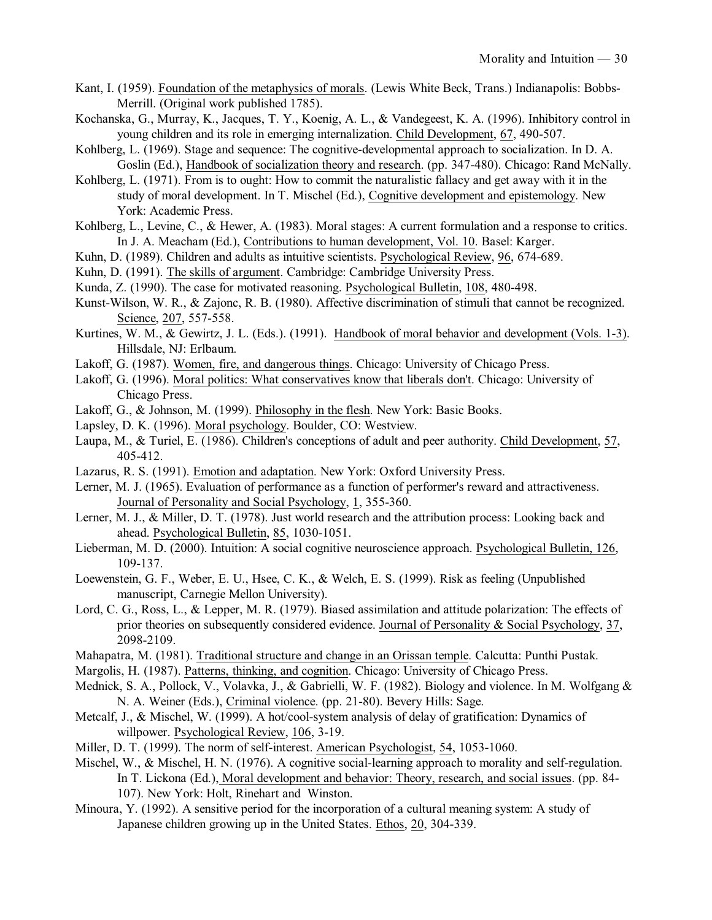- Kant, I. (1959). Foundation of the metaphysics of morals. (Lewis White Beck, Trans.) Indianapolis: Bobbs-Merrill. (Original work published 1785).
- Kochanska, G., Murray, K., Jacques, T. Y., Koenig, A. L., & Vandegeest, K. A. (1996). Inhibitory control in young children and its role in emerging internalization. Child Development, 67, 490-507.
- Kohlberg, L. (1969). Stage and sequence: The cognitive-developmental approach to socialization. In D. A. Goslin (Ed.), Handbook of socialization theory and research. (pp. 347-480). Chicago: Rand McNally.
- Kohlberg, L. (1971). From is to ought: How to commit the naturalistic fallacy and get away with it in the study of moral development. In T. Mischel (Ed.), Cognitive development and epistemology. New York: Academic Press.
- Kohlberg, L., Levine, C., & Hewer, A. (1983). Moral stages: A current formulation and a response to critics. In J. A. Meacham (Ed.), Contributions to human development, Vol. 10. Basel: Karger.
- Kuhn, D. (1989). Children and adults as intuitive scientists. Psychological Review, 96, 674-689.
- Kuhn, D. (1991). The skills of argument. Cambridge: Cambridge University Press.
- Kunda, Z. (1990). The case for motivated reasoning. Psychological Bulletin, 108, 480-498.
- Kunst-Wilson, W. R., & Zajonc, R. B. (1980). Affective discrimination of stimuli that cannot be recognized. Science, 207, 557-558.
- Kurtines, W. M., & Gewirtz, J. L. (Eds.). (1991). Handbook of moral behavior and development (Vols. 1-3). Hillsdale, NJ: Erlbaum.
- Lakoff, G. (1987). Women, fire, and dangerous things. Chicago: University of Chicago Press.
- Lakoff, G. (1996). Moral politics: What conservatives know that liberals don't. Chicago: University of Chicago Press.
- Lakoff, G., & Johnson, M. (1999). Philosophy in the flesh. New York: Basic Books.
- Lapsley, D. K. (1996). Moral psychology. Boulder, CO: Westview.
- Laupa, M., & Turiel, E. (1986). Children's conceptions of adult and peer authority. Child Development, 57, 405-412.
- Lazarus, R. S. (1991). Emotion and adaptation. New York: Oxford University Press.
- Lerner, M. J. (1965). Evaluation of performance as a function of performer's reward and attractiveness. Journal of Personality and Social Psychology, 1, 355-360.
- Lerner, M. J., & Miller, D. T. (1978). Just world research and the attribution process: Looking back and ahead. Psychological Bulletin, 85, 1030-1051.
- Lieberman, M. D. (2000). Intuition: A social cognitive neuroscience approach. Psychological Bulletin, 126, 109-137.
- Loewenstein, G. F., Weber, E. U., Hsee, C. K., & Welch, E. S. (1999). Risk as feeling (Unpublished manuscript, Carnegie Mellon University).
- Lord, C. G., Ross, L., & Lepper, M. R. (1979). Biased assimilation and attitude polarization: The effects of prior theories on subsequently considered evidence. Journal of Personality & Social Psychology, 37, 2098-2109.
- Mahapatra, M. (1981). Traditional structure and change in an Orissan temple. Calcutta: Punthi Pustak.
- Margolis, H. (1987). Patterns, thinking, and cognition. Chicago: University of Chicago Press.
- Mednick, S. A., Pollock, V., Volavka, J., & Gabrielli, W. F. (1982). Biology and violence. In M. Wolfgang & N. A. Weiner (Eds.), Criminal violence. (pp. 21-80). Bevery Hills: Sage.
- Metcalf, J., & Mischel, W. (1999). A hot/cool-system analysis of delay of gratification: Dynamics of willpower. Psychological Review, 106, 3-19.
- Miller, D. T. (1999). The norm of self-interest. American Psychologist, 54, 1053-1060.
- Mischel, W., & Mischel, H. N. (1976). A cognitive social-learning approach to morality and self-regulation. In T. Lickona (Ed.), Moral development and behavior: Theory, research, and social issues. (pp. 84- 107). New York: Holt, Rinehart and Winston.
- Minoura, Y. (1992). A sensitive period for the incorporation of a cultural meaning system: A study of Japanese children growing up in the United States. Ethos, 20, 304-339.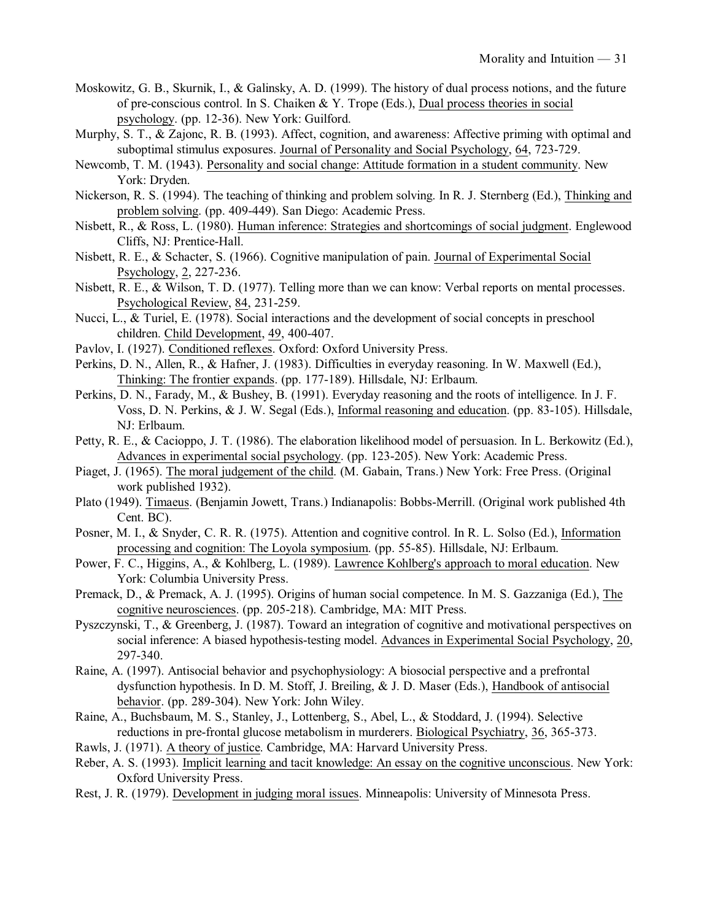- Moskowitz, G. B., Skurnik, I., & Galinsky, A. D. (1999). The history of dual process notions, and the future of pre-conscious control. In S. Chaiken & Y. Trope (Eds.), Dual process theories in social psychology. (pp. 12-36). New York: Guilford.
- Murphy, S. T., & Zajonc, R. B. (1993). Affect, cognition, and awareness: Affective priming with optimal and suboptimal stimulus exposures. Journal of Personality and Social Psychology, 64, 723-729.
- Newcomb, T. M. (1943). Personality and social change: Attitude formation in a student community. New York: Dryden.
- Nickerson, R. S. (1994). The teaching of thinking and problem solving. In R. J. Sternberg (Ed.), Thinking and problem solving. (pp. 409-449). San Diego: Academic Press.
- Nisbett, R., & Ross, L. (1980). Human inference: Strategies and shortcomings of social judgment. Englewood Cliffs, NJ: Prentice-Hall.
- Nisbett, R. E., & Schacter, S. (1966). Cognitive manipulation of pain. Journal of Experimental Social Psychology, 2, 227-236.
- Nisbett, R. E., & Wilson, T. D. (1977). Telling more than we can know: Verbal reports on mental processes. Psychological Review, 84, 231-259.
- Nucci, L., & Turiel, E. (1978). Social interactions and the development of social concepts in preschool children. Child Development, 49, 400-407.
- Pavlov, I. (1927). Conditioned reflexes. Oxford: Oxford University Press.
- Perkins, D. N., Allen, R., & Hafner, J. (1983). Difficulties in everyday reasoning. In W. Maxwell (Ed.), Thinking: The frontier expands. (pp. 177-189). Hillsdale, NJ: Erlbaum.
- Perkins, D. N., Farady, M., & Bushey, B. (1991). Everyday reasoning and the roots of intelligence. In J. F. Voss, D. N. Perkins, & J. W. Segal (Eds.), Informal reasoning and education. (pp. 83-105). Hillsdale, NJ: Erlbaum.
- Petty, R. E., & Cacioppo, J. T. (1986). The elaboration likelihood model of persuasion. In L. Berkowitz (Ed.), Advances in experimental social psychology. (pp. 123-205). New York: Academic Press.
- Piaget, J. (1965). The moral judgement of the child. (M. Gabain, Trans.) New York: Free Press. (Original work published 1932).
- Plato (1949). Timaeus. (Benjamin Jowett, Trans.) Indianapolis: Bobbs-Merrill. (Original work published 4th Cent. BC).
- Posner, M. I., & Snyder, C. R. R. (1975). Attention and cognitive control. In R. L. Solso (Ed.), Information processing and cognition: The Loyola symposium. (pp. 55-85). Hillsdale, NJ: Erlbaum.
- Power, F. C., Higgins, A., & Kohlberg, L. (1989). Lawrence Kohlberg's approach to moral education. New York: Columbia University Press.
- Premack, D., & Premack, A. J. (1995). Origins of human social competence. In M. S. Gazzaniga (Ed.), The cognitive neurosciences. (pp. 205-218). Cambridge, MA: MIT Press.
- Pyszczynski, T., & Greenberg, J. (1987). Toward an integration of cognitive and motivational perspectives on social inference: A biased hypothesis-testing model. Advances in Experimental Social Psychology, 20, 297-340.
- Raine, A. (1997). Antisocial behavior and psychophysiology: A biosocial perspective and a prefrontal dysfunction hypothesis. In D. M. Stoff, J. Breiling, & J. D. Maser (Eds.), Handbook of antisocial behavior. (pp. 289-304). New York: John Wiley.
- Raine, A., Buchsbaum, M. S., Stanley, J., Lottenberg, S., Abel, L., & Stoddard, J. (1994). Selective reductions in pre-frontal glucose metabolism in murderers. Biological Psychiatry, 36, 365-373.
- Rawls, J. (1971). A theory of justice. Cambridge, MA: Harvard University Press.
- Reber, A. S. (1993). Implicit learning and tacit knowledge: An essay on the cognitive unconscious. New York: Oxford University Press.
- Rest, J. R. (1979). Development in judging moral issues. Minneapolis: University of Minnesota Press.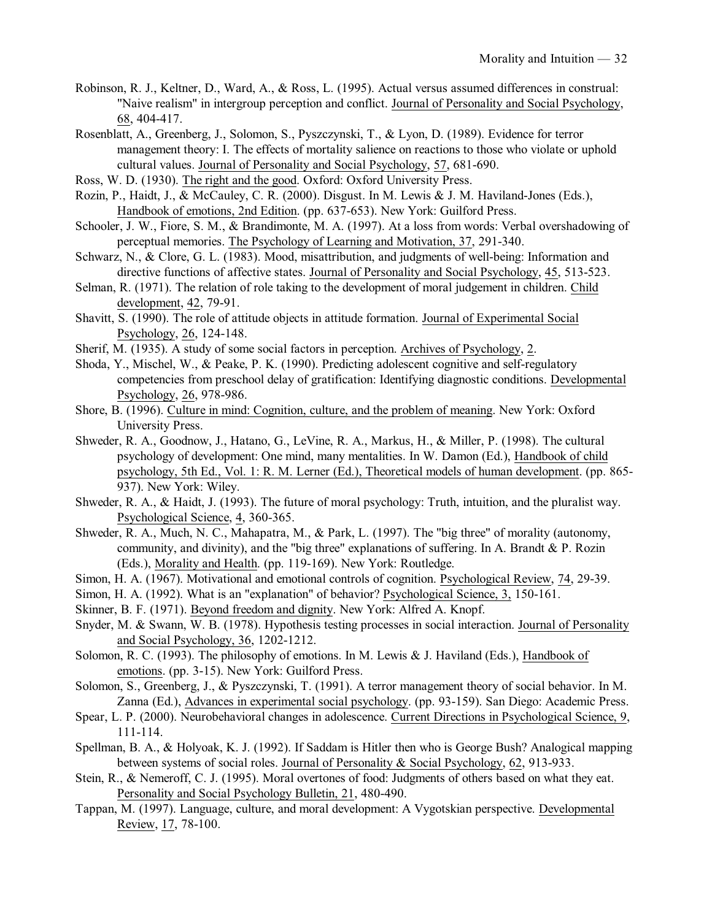- Robinson, R. J., Keltner, D., Ward, A., & Ross, L. (1995). Actual versus assumed differences in construal: "Naive realism" in intergroup perception and conflict. Journal of Personality and Social Psychology, 68, 404-417.
- Rosenblatt, A., Greenberg, J., Solomon, S., Pyszczynski, T., & Lyon, D. (1989). Evidence for terror management theory: I. The effects of mortality salience on reactions to those who violate or uphold cultural values. Journal of Personality and Social Psychology, 57, 681-690.
- Ross, W. D. (1930). The right and the good. Oxford: Oxford University Press.
- Rozin, P., Haidt, J., & McCauley, C. R. (2000). Disgust. In M. Lewis & J. M. Haviland-Jones (Eds.), Handbook of emotions, 2nd Edition. (pp. 637-653). New York: Guilford Press.
- Schooler, J. W., Fiore, S. M., & Brandimonte, M. A. (1997). At a loss from words: Verbal overshadowing of perceptual memories. The Psychology of Learning and Motivation, 37, 291-340.
- Schwarz, N., & Clore, G. L. (1983). Mood, misattribution, and judgments of well-being: Information and directive functions of affective states. Journal of Personality and Social Psychology, 45, 513-523.
- Selman, R. (1971). The relation of role taking to the development of moral judgement in children. Child development, 42, 79-91.
- Shavitt, S. (1990). The role of attitude objects in attitude formation. Journal of Experimental Social Psychology, 26, 124-148.
- Sherif, M. (1935). A study of some social factors in perception. Archives of Psychology, 2.
- Shoda, Y., Mischel, W., & Peake, P. K. (1990). Predicting adolescent cognitive and self-regulatory competencies from preschool delay of gratification: Identifying diagnostic conditions. Developmental Psychology, 26, 978-986.
- Shore, B. (1996). Culture in mind: Cognition, culture, and the problem of meaning. New York: Oxford University Press.
- Shweder, R. A., Goodnow, J., Hatano, G., LeVine, R. A., Markus, H., & Miller, P. (1998). The cultural psychology of development: One mind, many mentalities. In W. Damon (Ed.), Handbook of child psychology, 5th Ed., Vol. 1: R. M. Lerner (Ed.), Theoretical models of human development. (pp. 865- 937). New York: Wiley.
- Shweder, R. A., & Haidt, J. (1993). The future of moral psychology: Truth, intuition, and the pluralist way. Psychological Science, 4, 360-365.
- Shweder, R. A., Much, N. C., Mahapatra, M., & Park, L. (1997). The "big three" of morality (autonomy, community, and divinity), and the "big three" explanations of suffering. In A. Brandt & P. Rozin (Eds.), Morality and Health. (pp. 119-169). New York: Routledge.
- Simon, H. A. (1967). Motivational and emotional controls of cognition. Psychological Review, 74, 29-39.
- Simon, H. A. (1992). What is an "explanation" of behavior? Psychological Science, 3, 150-161.
- Skinner, B. F. (1971). Beyond freedom and dignity. New York: Alfred A. Knopf.
- Snyder, M. & Swann, W. B. (1978). Hypothesis testing processes in social interaction. Journal of Personality and Social Psychology, 36, 1202-1212.
- Solomon, R. C. (1993). The philosophy of emotions. In M. Lewis & J. Haviland (Eds.), Handbook of emotions. (pp. 3-15). New York: Guilford Press.
- Solomon, S., Greenberg, J., & Pyszczynski, T. (1991). A terror management theory of social behavior. In M. Zanna (Ed.), Advances in experimental social psychology. (pp. 93-159). San Diego: Academic Press.
- Spear, L. P. (2000). Neurobehavioral changes in adolescence. Current Directions in Psychological Science, 9, 111-114.
- Spellman, B. A., & Holyoak, K. J. (1992). If Saddam is Hitler then who is George Bush? Analogical mapping between systems of social roles. Journal of Personality & Social Psychology, 62, 913-933.
- Stein, R., & Nemeroff, C. J. (1995). Moral overtones of food: Judgments of others based on what they eat. Personality and Social Psychology Bulletin, 21, 480-490.
- Tappan, M. (1997). Language, culture, and moral development: A Vygotskian perspective. Developmental Review, 17, 78-100.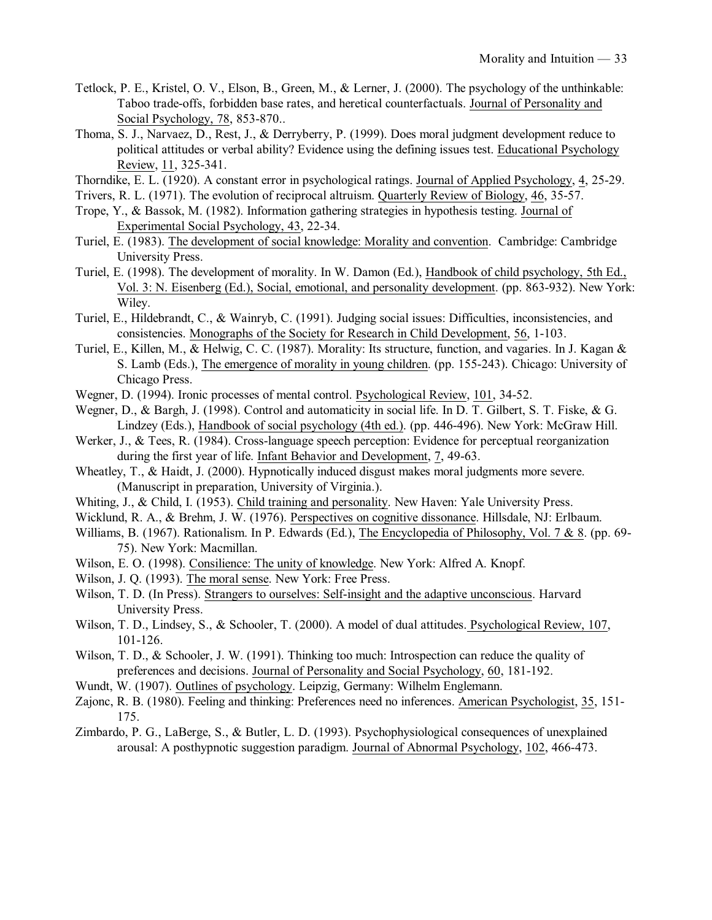- Tetlock, P. E., Kristel, O. V., Elson, B., Green, M., & Lerner, J. (2000). The psychology of the unthinkable: Taboo trade-offs, forbidden base rates, and heretical counterfactuals. Journal of Personality and Social Psychology, 78, 853-870..
- Thoma, S. J., Narvaez, D., Rest, J., & Derryberry, P. (1999). Does moral judgment development reduce to political attitudes or verbal ability? Evidence using the defining issues test. Educational Psychology Review, 11, 325-341.
- Thorndike, E. L. (1920). A constant error in psychological ratings. Journal of Applied Psychology, 4, 25-29.
- Trivers, R. L. (1971). The evolution of reciprocal altruism. Quarterly Review of Biology, 46, 35-57.
- Trope, Y., & Bassok, M. (1982). Information gathering strategies in hypothesis testing. Journal of Experimental Social Psychology, 43, 22-34.
- Turiel, E. (1983). The development of social knowledge: Morality and convention. Cambridge: Cambridge University Press.
- Turiel, E. (1998). The development of morality. In W. Damon (Ed.), Handbook of child psychology, 5th Ed., Vol. 3: N. Eisenberg (Ed.), Social, emotional, and personality development. (pp. 863-932). New York: Wiley.
- Turiel, E., Hildebrandt, C., & Wainryb, C. (1991). Judging social issues: Difficulties, inconsistencies, and consistencies. Monographs of the Society for Research in Child Development, 56, 1-103.
- Turiel, E., Killen, M., & Helwig, C. C. (1987). Morality: Its structure, function, and vagaries. In J. Kagan & S. Lamb (Eds.), The emergence of morality in young children. (pp. 155-243). Chicago: University of Chicago Press.
- Wegner, D. (1994). Ironic processes of mental control. Psychological Review, 101, 34-52.
- Wegner, D., & Bargh, J. (1998). Control and automaticity in social life. In D. T. Gilbert, S. T. Fiske, & G. Lindzey (Eds.), Handbook of social psychology (4th ed.). (pp. 446-496). New York: McGraw Hill.
- Werker, J., & Tees, R. (1984). Cross-language speech perception: Evidence for perceptual reorganization during the first year of life. Infant Behavior and Development, 7, 49-63.
- Wheatley, T., & Haidt, J. (2000). Hypnotically induced disgust makes moral judgments more severe. (Manuscript in preparation, University of Virginia.).
- Whiting, J., & Child, I. (1953). Child training and personality. New Haven: Yale University Press.
- Wicklund, R. A., & Brehm, J. W. (1976). Perspectives on cognitive dissonance. Hillsdale, NJ: Erlbaum.
- Williams, B. (1967). Rationalism. In P. Edwards (Ed.), The Encyclopedia of Philosophy, Vol. 7 & 8. (pp. 69-75). New York: Macmillan.
- Wilson, E. O. (1998). Consilience: The unity of knowledge. New York: Alfred A. Knopf.
- Wilson, J. Q. (1993). The moral sense. New York: Free Press.
- Wilson, T. D. (In Press). Strangers to ourselves: Self-insight and the adaptive unconscious. Harvard University Press.
- Wilson, T. D., Lindsey, S., & Schooler, T. (2000). A model of dual attitudes. Psychological Review, 107, 101-126.
- Wilson, T. D., & Schooler, J. W. (1991). Thinking too much: Introspection can reduce the quality of preferences and decisions. Journal of Personality and Social Psychology, 60, 181-192.
- Wundt, W. (1907). Outlines of psychology. Leipzig, Germany: Wilhelm Englemann.
- Zajonc, R. B. (1980). Feeling and thinking: Preferences need no inferences. American Psychologist, 35, 151- 175.
- Zimbardo, P. G., LaBerge, S., & Butler, L. D. (1993). Psychophysiological consequences of unexplained arousal: A posthypnotic suggestion paradigm. Journal of Abnormal Psychology, 102, 466-473.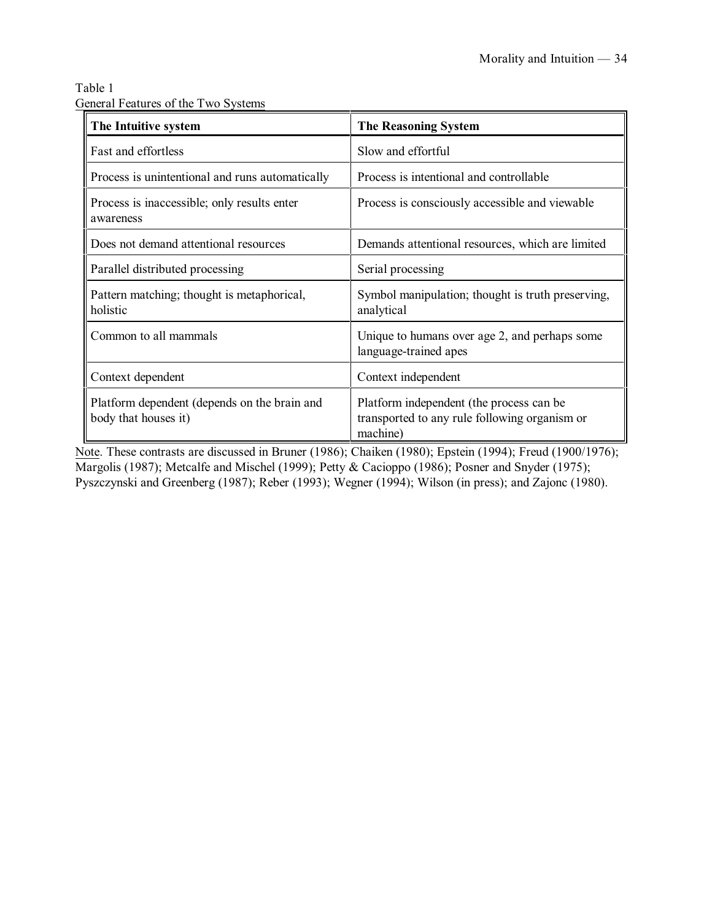Table 1 General Features of the Two Systems

| The Intuitive system                                                 | <b>The Reasoning System</b>                                                                           |
|----------------------------------------------------------------------|-------------------------------------------------------------------------------------------------------|
| <b>Fast and effortless</b>                                           | Slow and effortful                                                                                    |
| Process is unintentional and runs automatically                      | Process is intentional and controllable                                                               |
| Process is inaccessible; only results enter<br>awareness             | Process is consciously accessible and viewable                                                        |
| Does not demand attentional resources                                | Demands attentional resources, which are limited                                                      |
| Parallel distributed processing                                      | Serial processing                                                                                     |
| Pattern matching; thought is metaphorical,<br>holistic               | Symbol manipulation; thought is truth preserving,<br>analytical                                       |
| Common to all mammals                                                | Unique to humans over age 2, and perhaps some<br>language-trained apes                                |
| Context dependent                                                    | Context independent                                                                                   |
| Platform dependent (depends on the brain and<br>body that houses it) | Platform independent (the process can be<br>transported to any rule following organism or<br>machine) |

Note. These contrasts are discussed in Bruner (1986); Chaiken (1980); Epstein (1994); Freud (1900/1976); Margolis (1987); Metcalfe and Mischel (1999); Petty & Cacioppo (1986); Posner and Snyder (1975); Pyszczynski and Greenberg (1987); Reber (1993); Wegner (1994); Wilson (in press); and Zajonc (1980).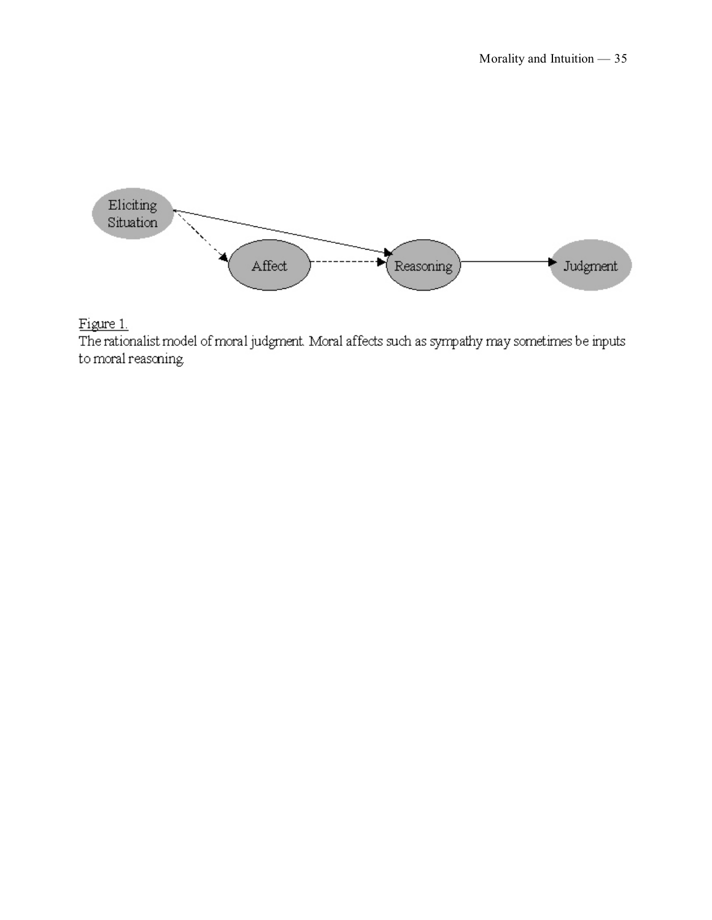

# Figure 1.

The rationalist model of moral judgment. Moral affects such as sympathy may sometimes be inputs to moral reasoning